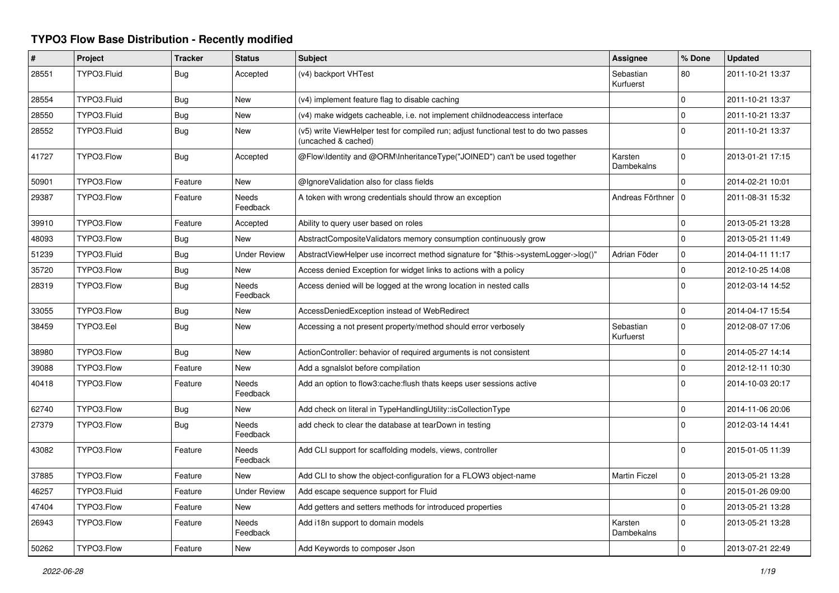## **TYPO3 Flow Base Distribution - Recently modified**

| #     | <b>Project</b> | <b>Tracker</b> | <b>Status</b>            | <b>Subject</b>                                                                                              | Assignee               | % Done   | <b>Updated</b>   |
|-------|----------------|----------------|--------------------------|-------------------------------------------------------------------------------------------------------------|------------------------|----------|------------------|
| 28551 | TYPO3.Fluid    | Bug            | Accepted                 | (v4) backport VHTest                                                                                        | Sebastian<br>Kurfuerst | 80       | 2011-10-21 13:37 |
| 28554 | TYPO3.Fluid    | Bug            | <b>New</b>               | (v4) implement feature flag to disable caching                                                              |                        | $\Omega$ | 2011-10-21 13:37 |
| 28550 | TYPO3.Fluid    | Bug            | New                      | (v4) make widgets cacheable, i.e. not implement childnodeaccess interface                                   |                        | 0        | 2011-10-21 13:37 |
| 28552 | TYPO3.Fluid    | <b>Bug</b>     | <b>New</b>               | (v5) write ViewHelper test for compiled run; adjust functional test to do two passes<br>(uncached & cached) |                        | $\Omega$ | 2011-10-21 13:37 |
| 41727 | TYPO3.Flow     | Bug            | Accepted                 | @Flow\Identity and @ORM\InheritanceType("JOINED") can't be used together                                    | Karsten<br>Dambekalns  | $\Omega$ | 2013-01-21 17:15 |
| 50901 | TYPO3.Flow     | Feature        | New                      | @IgnoreValidation also for class fields                                                                     |                        | $\Omega$ | 2014-02-21 10:01 |
| 29387 | TYPO3.Flow     | Feature        | <b>Needs</b><br>Feedback | A token with wrong credentials should throw an exception                                                    | Andreas Förthner   0   |          | 2011-08-31 15:32 |
| 39910 | TYPO3.Flow     | Feature        | Accepted                 | Ability to query user based on roles                                                                        |                        | 0        | 2013-05-21 13:28 |
| 48093 | TYPO3.Flow     | <b>Bug</b>     | New                      | AbstractCompositeValidators memory consumption continuously grow                                            |                        | $\Omega$ | 2013-05-21 11:49 |
| 51239 | TYPO3.Fluid    | Bug            | <b>Under Review</b>      | AbstractViewHelper use incorrect method signature for "\$this->systemLogger->log()"                         | Adrian Föder           | $\Omega$ | 2014-04-11 11:17 |
| 35720 | TYPO3.Flow     | Bug            | New                      | Access denied Exception for widget links to actions with a policy                                           |                        | 0        | 2012-10-25 14:08 |
| 28319 | TYPO3.Flow     | <b>Bug</b>     | <b>Needs</b><br>Feedback | Access denied will be logged at the wrong location in nested calls                                          |                        | $\Omega$ | 2012-03-14 14:52 |
| 33055 | TYPO3.Flow     | Bug            | <b>New</b>               | AccessDeniedException instead of WebRedirect                                                                |                        | $\Omega$ | 2014-04-17 15:54 |
| 38459 | TYPO3.Eel      | <b>Bug</b>     | New                      | Accessing a not present property/method should error verbosely                                              | Sebastian<br>Kurfuerst | 0        | 2012-08-07 17:06 |
| 38980 | TYPO3.Flow     | <b>Bug</b>     | <b>New</b>               | ActionController: behavior of required arguments is not consistent                                          |                        | $\Omega$ | 2014-05-27 14:14 |
| 39088 | TYPO3.Flow     | Feature        | New                      | Add a sgnalslot before compilation                                                                          |                        | 0        | 2012-12-11 10:30 |
| 40418 | TYPO3.Flow     | Feature        | Needs<br>Feedback        | Add an option to flow3: cache: flush thats keeps user sessions active                                       |                        | $\Omega$ | 2014-10-03 20:17 |
| 62740 | TYPO3.Flow     | Bug            | New                      | Add check on literal in TypeHandlingUtility::isCollectionType                                               |                        | $\Omega$ | 2014-11-06 20:06 |
| 27379 | TYPO3.Flow     | Bug            | Needs<br>Feedback        | add check to clear the database at tearDown in testing                                                      |                        | 0        | 2012-03-14 14:41 |
| 43082 | TYPO3.Flow     | Feature        | <b>Needs</b><br>Feedback | Add CLI support for scaffolding models, views, controller                                                   |                        | $\Omega$ | 2015-01-05 11:39 |
| 37885 | TYPO3.Flow     | Feature        | <b>New</b>               | Add CLI to show the object-configuration for a FLOW3 object-name                                            | <b>Martin Ficzel</b>   | $\Omega$ | 2013-05-21 13:28 |
| 46257 | TYPO3.Fluid    | Feature        | <b>Under Review</b>      | Add escape sequence support for Fluid                                                                       |                        | 0        | 2015-01-26 09:00 |
| 47404 | TYPO3.Flow     | Feature        | <b>New</b>               | Add getters and setters methods for introduced properties                                                   |                        | $\Omega$ | 2013-05-21 13:28 |
| 26943 | TYPO3.Flow     | Feature        | Needs<br>Feedback        | Add i18n support to domain models                                                                           | Karsten<br>Dambekalns  | $\Omega$ | 2013-05-21 13:28 |
| 50262 | TYPO3.Flow     | Feature        | New                      | Add Keywords to composer Json                                                                               |                        | $\Omega$ | 2013-07-21 22:49 |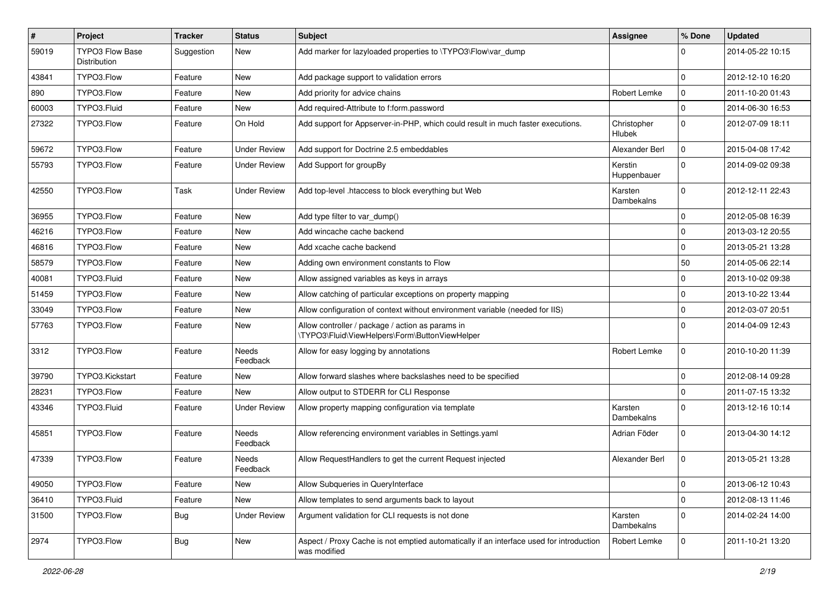| #     | Project                                | <b>Tracker</b> | <b>Status</b>            | <b>Subject</b>                                                                                          | <b>Assignee</b>              | % Done       | <b>Updated</b>   |
|-------|----------------------------------------|----------------|--------------------------|---------------------------------------------------------------------------------------------------------|------------------------------|--------------|------------------|
| 59019 | <b>TYPO3 Flow Base</b><br>Distribution | Suggestion     | New                      | Add marker for lazyloaded properties to \TYPO3\Flow\var dump                                            |                              | 0            | 2014-05-22 10:15 |
| 43841 | TYPO3.Flow                             | Feature        | New                      | Add package support to validation errors                                                                |                              | $\mathbf 0$  | 2012-12-10 16:20 |
| 890   | TYPO3.Flow                             | Feature        | New                      | Add priority for advice chains                                                                          | Robert Lemke                 | $\mathbf 0$  | 2011-10-20 01:43 |
| 60003 | TYPO3.Fluid                            | Feature        | New                      | Add required-Attribute to f:form.password                                                               |                              | $\mathbf{0}$ | 2014-06-30 16:53 |
| 27322 | TYPO3.Flow                             | Feature        | On Hold                  | Add support for Appserver-in-PHP, which could result in much faster executions.                         | Christopher<br><b>Hlubek</b> | $\mathbf 0$  | 2012-07-09 18:11 |
| 59672 | TYPO3.Flow                             | Feature        | <b>Under Review</b>      | Add support for Doctrine 2.5 embeddables                                                                | Alexander Berl               | $\mathbf 0$  | 2015-04-08 17:42 |
| 55793 | TYPO3.Flow                             | Feature        | <b>Under Review</b>      | Add Support for groupBy                                                                                 | Kerstin<br>Huppenbauer       | $\mathbf{0}$ | 2014-09-02 09:38 |
| 42550 | TYPO3.Flow                             | Task           | <b>Under Review</b>      | Add top-level .htaccess to block everything but Web                                                     | Karsten<br>Dambekalns        | $\mathbf{0}$ | 2012-12-11 22:43 |
| 36955 | TYPO3.Flow                             | Feature        | New                      | Add type filter to var_dump()                                                                           |                              | $\mathbf 0$  | 2012-05-08 16:39 |
| 46216 | TYPO3.Flow                             | Feature        | New                      | Add wincache cache backend                                                                              |                              | $\mathbf 0$  | 2013-03-12 20:55 |
| 46816 | TYPO3.Flow                             | Feature        | New                      | Add xcache cache backend                                                                                |                              | $\mathbf 0$  | 2013-05-21 13:28 |
| 58579 | TYPO3.Flow                             | Feature        | New                      | Adding own environment constants to Flow                                                                |                              | 50           | 2014-05-06 22:14 |
| 40081 | TYPO3.Fluid                            | Feature        | New                      | Allow assigned variables as keys in arrays                                                              |                              | $\Omega$     | 2013-10-02 09:38 |
| 51459 | TYPO3.Flow                             | Feature        | New                      | Allow catching of particular exceptions on property mapping                                             |                              | $\mathbf 0$  | 2013-10-22 13:44 |
| 33049 | TYPO3.Flow                             | Feature        | New                      | Allow configuration of context without environment variable (needed for IIS)                            |                              | $\mathbf 0$  | 2012-03-07 20:51 |
| 57763 | TYPO3.Flow                             | Feature        | New                      | Allow controller / package / action as params in<br>\TYPO3\Fluid\ViewHelpers\Form\ButtonViewHelper      |                              | $\Omega$     | 2014-04-09 12:43 |
| 3312  | TYPO3.Flow                             | Feature        | Needs<br>Feedback        | Allow for easy logging by annotations                                                                   | Robert Lemke                 | $\mathbf 0$  | 2010-10-20 11:39 |
| 39790 | TYPO3.Kickstart                        | Feature        | New                      | Allow forward slashes where backslashes need to be specified                                            |                              | $\mathbf 0$  | 2012-08-14 09:28 |
| 28231 | TYPO3.Flow                             | Feature        | New                      | Allow output to STDERR for CLI Response                                                                 |                              | $\Omega$     | 2011-07-15 13:32 |
| 43346 | TYPO3.Fluid                            | Feature        | <b>Under Review</b>      | Allow property mapping configuration via template                                                       | Karsten<br>Dambekalns        | $\mathbf{0}$ | 2013-12-16 10:14 |
| 45851 | TYPO3.Flow                             | Feature        | <b>Needs</b><br>Feedback | Allow referencing environment variables in Settings.yaml                                                | Adrian Föder                 | $\mathbf 0$  | 2013-04-30 14:12 |
| 47339 | TYPO3.Flow                             | Feature        | Needs<br>Feedback        | Allow RequestHandlers to get the current Request injected                                               | Alexander Berl               | $\mathbf 0$  | 2013-05-21 13:28 |
| 49050 | TYPO3.Flow                             | Feature        | New                      | Allow Subqueries in QueryInterface                                                                      |                              | 0            | 2013-06-12 10:43 |
| 36410 | TYPO3.Fluid                            | Feature        | New                      | Allow templates to send arguments back to layout                                                        |                              | 0            | 2012-08-13 11:46 |
| 31500 | TYPO3.Flow                             | <b>Bug</b>     | <b>Under Review</b>      | Argument validation for CLI requests is not done                                                        | Karsten<br>Dambekalns        | $\mathbf 0$  | 2014-02-24 14:00 |
| 2974  | TYPO3.Flow                             | <b>Bug</b>     | New                      | Aspect / Proxy Cache is not emptied automatically if an interface used for introduction<br>was modified | Robert Lemke                 | $\mathbf 0$  | 2011-10-21 13:20 |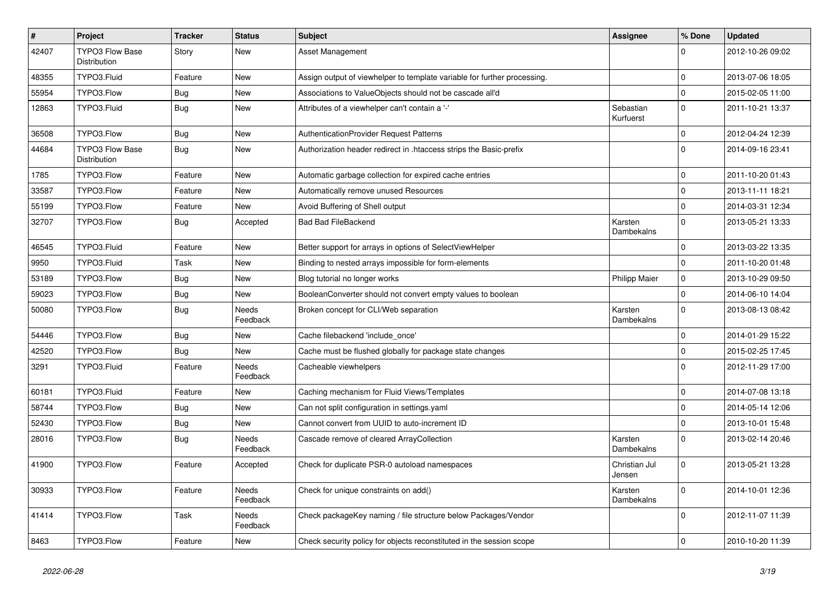| $\sharp$ | Project                                | <b>Tracker</b> | <b>Status</b>            | Subject                                                                  | Assignee                | % Done       | <b>Updated</b>   |
|----------|----------------------------------------|----------------|--------------------------|--------------------------------------------------------------------------|-------------------------|--------------|------------------|
| 42407    | TYPO3 Flow Base<br>Distribution        | Story          | New                      | Asset Management                                                         |                         | $\Omega$     | 2012-10-26 09:02 |
| 48355    | TYPO3.Fluid                            | Feature        | <b>New</b>               | Assign output of viewhelper to template variable for further processing. |                         | $\mathbf 0$  | 2013-07-06 18:05 |
| 55954    | TYPO3.Flow                             | <b>Bug</b>     | New                      | Associations to ValueObjects should not be cascade all'd                 |                         | $\mathbf 0$  | 2015-02-05 11:00 |
| 12863    | TYPO3.Fluid                            | <b>Bug</b>     | New                      | Attributes of a viewhelper can't contain a '-'                           | Sebastian<br>Kurfuerst  | $\mathbf{0}$ | 2011-10-21 13:37 |
| 36508    | TYPO3.Flow                             | <b>Bug</b>     | New                      | AuthenticationProvider Request Patterns                                  |                         | $\mathbf{0}$ | 2012-04-24 12:39 |
| 44684    | <b>TYPO3 Flow Base</b><br>Distribution | <b>Bug</b>     | New                      | Authorization header redirect in .htaccess strips the Basic-prefix       |                         | $\Omega$     | 2014-09-16 23:41 |
| 1785     | TYPO3.Flow                             | Feature        | New                      | Automatic garbage collection for expired cache entries                   |                         | $\mathbf 0$  | 2011-10-20 01:43 |
| 33587    | TYPO3.Flow                             | Feature        | New                      | Automatically remove unused Resources                                    |                         | $\mathbf 0$  | 2013-11-11 18:21 |
| 55199    | TYPO3.Flow                             | Feature        | New                      | Avoid Buffering of Shell output                                          |                         | $\mathbf{0}$ | 2014-03-31 12:34 |
| 32707    | TYPO3.Flow                             | <b>Bug</b>     | Accepted                 | <b>Bad Bad FileBackend</b>                                               | Karsten<br>Dambekalns   | $\mathbf{0}$ | 2013-05-21 13:33 |
| 46545    | TYPO3.Fluid                            | Feature        | <b>New</b>               | Better support for arrays in options of SelectViewHelper                 |                         | $\Omega$     | 2013-03-22 13:35 |
| 9950     | TYPO3.Fluid                            | Task           | New                      | Binding to nested arrays impossible for form-elements                    |                         | $\mathbf{0}$ | 2011-10-20 01:48 |
| 53189    | TYPO3.Flow                             | <b>Bug</b>     | New                      | Blog tutorial no longer works                                            | <b>Philipp Maier</b>    | $\mathbf 0$  | 2013-10-29 09:50 |
| 59023    | TYPO3.Flow                             | <b>Bug</b>     | New                      | BooleanConverter should not convert empty values to boolean              |                         | $\mathbf 0$  | 2014-06-10 14:04 |
| 50080    | TYPO3.Flow                             | <b>Bug</b>     | Needs<br>Feedback        | Broken concept for CLI/Web separation                                    | Karsten<br>Dambekalns   | $\Omega$     | 2013-08-13 08:42 |
| 54446    | TYPO3.Flow                             | <b>Bug</b>     | New                      | Cache filebackend 'include_once'                                         |                         | $\mathbf 0$  | 2014-01-29 15:22 |
| 42520    | TYPO3.Flow                             | Bug            | New                      | Cache must be flushed globally for package state changes                 |                         | $\mathbf 0$  | 2015-02-25 17:45 |
| 3291     | TYPO3.Fluid                            | Feature        | <b>Needs</b><br>Feedback | Cacheable viewhelpers                                                    |                         | $\Omega$     | 2012-11-29 17:00 |
| 60181    | TYPO3.Fluid                            | Feature        | <b>New</b>               | Caching mechanism for Fluid Views/Templates                              |                         | $\Omega$     | 2014-07-08 13:18 |
| 58744    | TYPO3.Flow                             | <b>Bug</b>     | New                      | Can not split configuration in settings.yaml                             |                         | $\mathbf{0}$ | 2014-05-14 12:06 |
| 52430    | TYPO3.Flow                             | <b>Bug</b>     | New                      | Cannot convert from UUID to auto-increment ID                            |                         | $\mathbf 0$  | 2013-10-01 15:48 |
| 28016    | TYPO3.Flow                             | Bug            | Needs<br>Feedback        | Cascade remove of cleared ArrayCollection                                | Karsten<br>Dambekalns   | $\Omega$     | 2013-02-14 20:46 |
| 41900    | TYPO3.Flow                             | Feature        | Accepted                 | Check for duplicate PSR-0 autoload namespaces                            | Christian Jul<br>Jensen | $\Omega$     | 2013-05-21 13:28 |
| 30933    | TYPO3.Flow                             | Feature        | Needs<br>Feedback        | Check for unique constraints on add()                                    | Karsten<br>Dambekalns   | $\mathbf 0$  | 2014-10-01 12:36 |
| 41414    | TYPO3.Flow                             | Task           | Needs<br>Feedback        | Check packageKey naming / file structure below Packages/Vendor           |                         | $\mathbf 0$  | 2012-11-07 11:39 |
| 8463     | TYPO3.Flow                             | Feature        | New                      | Check security policy for objects reconstituted in the session scope     |                         | $\mathbf 0$  | 2010-10-20 11:39 |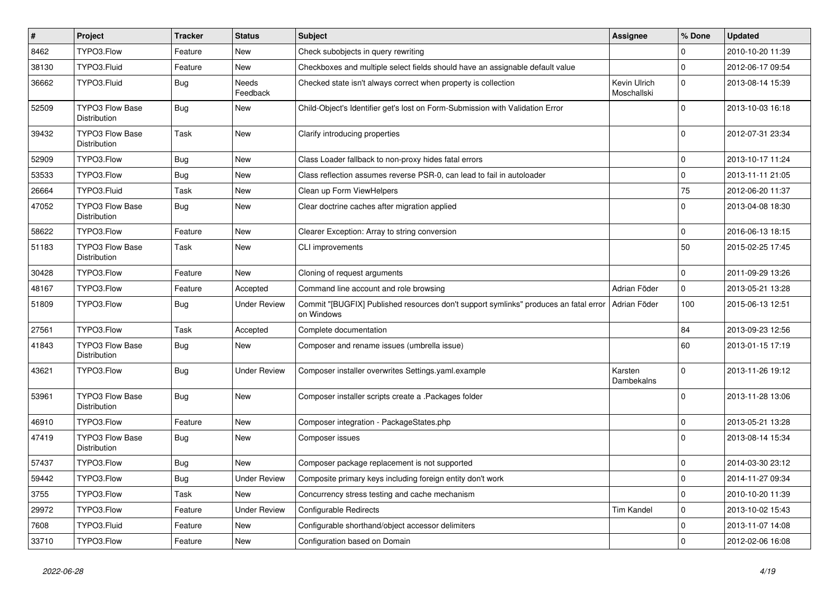| $\pmb{\#}$ | Project                                       | <b>Tracker</b> | <b>Status</b>       | <b>Subject</b>                                                                                                    | Assignee                    | % Done              | <b>Updated</b>   |
|------------|-----------------------------------------------|----------------|---------------------|-------------------------------------------------------------------------------------------------------------------|-----------------------------|---------------------|------------------|
| 8462       | TYPO3.Flow                                    | Feature        | New                 | Check subobjects in query rewriting                                                                               |                             | $\Omega$            | 2010-10-20 11:39 |
| 38130      | TYPO3.Fluid                                   | Feature        | New                 | Checkboxes and multiple select fields should have an assignable default value                                     |                             | $\mathbf 0$         | 2012-06-17 09:54 |
| 36662      | TYPO3.Fluid                                   | Bug            | Needs<br>Feedback   | Checked state isn't always correct when property is collection                                                    | Kevin Ulrich<br>Moschallski | $\Omega$            | 2013-08-14 15:39 |
| 52509      | <b>TYPO3 Flow Base</b><br><b>Distribution</b> | Bug            | New                 | Child-Object's Identifier get's lost on Form-Submission with Validation Error                                     |                             | $\Omega$            | 2013-10-03 16:18 |
| 39432      | <b>TYPO3 Flow Base</b><br>Distribution        | Task           | New                 | Clarify introducing properties                                                                                    |                             | $\mathbf 0$         | 2012-07-31 23:34 |
| 52909      | TYPO3.Flow                                    | Bug            | New                 | Class Loader fallback to non-proxy hides fatal errors                                                             |                             | $\mathsf{O}\xspace$ | 2013-10-17 11:24 |
| 53533      | TYPO3.Flow                                    | <b>Bug</b>     | New                 | Class reflection assumes reverse PSR-0, can lead to fail in autoloader                                            |                             | $\mathsf{O}\xspace$ | 2013-11-11 21:05 |
| 26664      | TYPO3.Fluid                                   | Task           | New                 | Clean up Form ViewHelpers                                                                                         |                             | 75                  | 2012-06-20 11:37 |
| 47052      | <b>TYPO3 Flow Base</b><br><b>Distribution</b> | <b>Bug</b>     | New                 | Clear doctrine caches after migration applied                                                                     |                             | $\Omega$            | 2013-04-08 18:30 |
| 58622      | TYPO3.Flow                                    | Feature        | New                 | Clearer Exception: Array to string conversion                                                                     |                             | $\mathbf 0$         | 2016-06-13 18:15 |
| 51183      | <b>TYPO3 Flow Base</b><br>Distribution        | Task           | New                 | <b>CLI improvements</b>                                                                                           |                             | 50                  | 2015-02-25 17:45 |
| 30428      | TYPO3.Flow                                    | Feature        | New                 | Cloning of request arguments                                                                                      |                             | $\mathbf 0$         | 2011-09-29 13:26 |
| 48167      | TYPO3.Flow                                    | Feature        | Accepted            | Command line account and role browsing                                                                            | Adrian Föder                | $\mathbf{0}$        | 2013-05-21 13:28 |
| 51809      | TYPO3.Flow                                    | Bug            | Under Review        | Commit "[BUGFIX] Published resources don't support symlinks" produces an fatal error   Adrian Föder<br>on Windows |                             | 100                 | 2015-06-13 12:51 |
| 27561      | TYPO3.Flow                                    | Task           | Accepted            | Complete documentation                                                                                            |                             | 84                  | 2013-09-23 12:56 |
| 41843      | <b>TYPO3 Flow Base</b><br>Distribution        | <b>Bug</b>     | New                 | Composer and rename issues (umbrella issue)                                                                       |                             | 60                  | 2013-01-15 17:19 |
| 43621      | TYPO3.Flow                                    | Bug            | Under Review        | Composer installer overwrites Settings.yaml.example                                                               | Karsten<br>Dambekalns       | $\Omega$            | 2013-11-26 19:12 |
| 53961      | <b>TYPO3 Flow Base</b><br>Distribution        | <b>Bug</b>     | New                 | Composer installer scripts create a .Packages folder                                                              |                             | $\Omega$            | 2013-11-28 13:06 |
| 46910      | TYPO3.Flow                                    | Feature        | New                 | Composer integration - PackageStates.php                                                                          |                             | $\mathbf 0$         | 2013-05-21 13:28 |
| 47419      | <b>TYPO3 Flow Base</b><br><b>Distribution</b> | <b>Bug</b>     | New                 | Composer issues                                                                                                   |                             | $\Omega$            | 2013-08-14 15:34 |
| 57437      | TYPO3.Flow                                    | Bug            | <b>New</b>          | Composer package replacement is not supported                                                                     |                             | $\mathbf 0$         | 2014-03-30 23:12 |
| 59442      | TYPO3.Flow                                    | <b>Bug</b>     | <b>Under Review</b> | Composite primary keys including foreign entity don't work                                                        |                             | $\mathbf 0$         | 2014-11-27 09:34 |
| 3755       | TYPO3.Flow                                    | Task           | New                 | Concurrency stress testing and cache mechanism                                                                    |                             | $\mathbf 0$         | 2010-10-20 11:39 |
| 29972      | TYPO3.Flow                                    | Feature        | <b>Under Review</b> | <b>Configurable Redirects</b>                                                                                     | <b>Tim Kandel</b>           | $\mathbf 0$         | 2013-10-02 15:43 |
| 7608       | TYPO3.Fluid                                   | Feature        | New                 | Configurable shorthand/object accessor delimiters                                                                 |                             | $\mathbf 0$         | 2013-11-07 14:08 |
| 33710      | TYPO3.Flow                                    | Feature        | New                 | Configuration based on Domain                                                                                     |                             | $\mathbf 0$         | 2012-02-06 16:08 |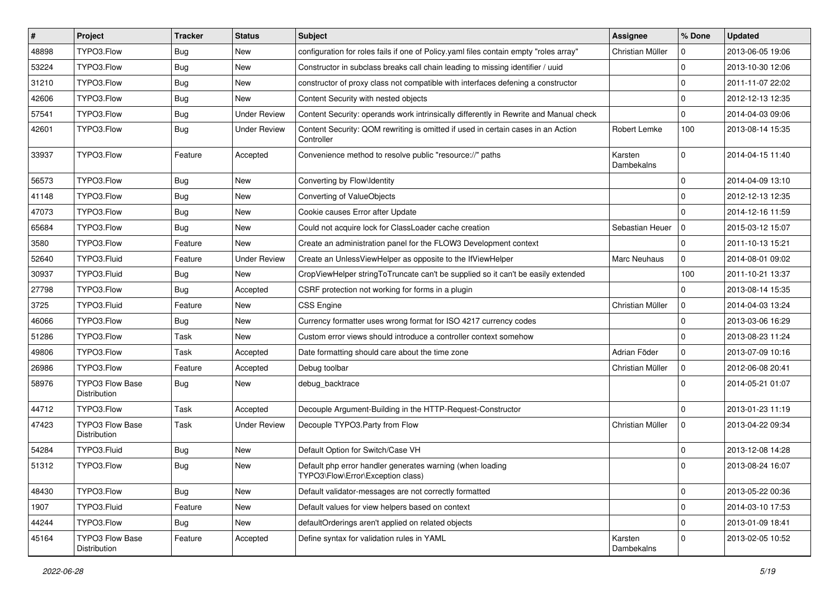| $\vert$ # | Project                                | <b>Tracker</b> | <b>Status</b>       | Subject                                                                                        | <b>Assignee</b>       | % Done              | <b>Updated</b>   |
|-----------|----------------------------------------|----------------|---------------------|------------------------------------------------------------------------------------------------|-----------------------|---------------------|------------------|
| 48898     | TYPO3.Flow                             | <b>Bug</b>     | New                 | configuration for roles fails if one of Policy yaml files contain empty "roles array"          | Christian Müller      | 0                   | 2013-06-05 19:06 |
| 53224     | TYPO3.Flow                             | <b>Bug</b>     | New                 | Constructor in subclass breaks call chain leading to missing identifier / uuid                 |                       | $\mathbf 0$         | 2013-10-30 12:06 |
| 31210     | TYPO3.Flow                             | Bug            | New                 | constructor of proxy class not compatible with interfaces defening a constructor               |                       | $\mathbf 0$         | 2011-11-07 22:02 |
| 42606     | TYPO3.Flow                             | <b>Bug</b>     | New                 | Content Security with nested objects                                                           |                       | $\mathbf 0$         | 2012-12-13 12:35 |
| 57541     | TYPO3.Flow                             | <b>Bug</b>     | <b>Under Review</b> | Content Security: operands work intrinsically differently in Rewrite and Manual check          |                       | $\mathbf 0$         | 2014-04-03 09:06 |
| 42601     | TYPO3.Flow                             | <b>Bug</b>     | <b>Under Review</b> | Content Security: QOM rewriting is omitted if used in certain cases in an Action<br>Controller | Robert Lemke          | 100                 | 2013-08-14 15:35 |
| 33937     | TYPO3.Flow                             | Feature        | Accepted            | Convenience method to resolve public "resource://" paths                                       | Karsten<br>Dambekalns | $\mathbf 0$         | 2014-04-15 11:40 |
| 56573     | TYPO3.Flow                             | <b>Bug</b>     | New                 | Converting by Flow\Identity                                                                    |                       | $\mathbf 0$         | 2014-04-09 13:10 |
| 41148     | TYPO3.Flow                             | Bug            | New                 | Converting of ValueObjects                                                                     |                       | $\mathbf 0$         | 2012-12-13 12:35 |
| 47073     | TYPO3.Flow                             | <b>Bug</b>     | New                 | Cookie causes Error after Update                                                               |                       | $\Omega$            | 2014-12-16 11:59 |
| 65684     | TYPO3.Flow                             | Bug            | New                 | Could not acquire lock for ClassLoader cache creation                                          | Sebastian Heuer       | $\mathbf 0$         | 2015-03-12 15:07 |
| 3580      | TYPO3.Flow                             | Feature        | New                 | Create an administration panel for the FLOW3 Development context                               |                       | $\mathbf 0$         | 2011-10-13 15:21 |
| 52640     | TYPO3.Fluid                            | Feature        | <b>Under Review</b> | Create an UnlessViewHelper as opposite to the IfViewHelper                                     | <b>Marc Neuhaus</b>   | $\mathbf 0$         | 2014-08-01 09:02 |
| 30937     | TYPO3.Fluid                            | <b>Bug</b>     | New                 | CropViewHelper stringToTruncate can't be supplied so it can't be easily extended               |                       | 100                 | 2011-10-21 13:37 |
| 27798     | TYPO3.Flow                             | Bug            | Accepted            | CSRF protection not working for forms in a plugin                                              |                       | $\Omega$            | 2013-08-14 15:35 |
| 3725      | TYPO3.Fluid                            | Feature        | New                 | <b>CSS Engine</b>                                                                              | Christian Müller      | 0                   | 2014-04-03 13:24 |
| 46066     | TYPO3.Flow                             | <b>Bug</b>     | New                 | Currency formatter uses wrong format for ISO 4217 currency codes                               |                       | $\mathbf 0$         | 2013-03-06 16:29 |
| 51286     | TYPO3.Flow                             | Task           | New                 | Custom error views should introduce a controller context somehow                               |                       | $\mathbf 0$         | 2013-08-23 11:24 |
| 49806     | TYPO3.Flow                             | Task           | Accepted            | Date formatting should care about the time zone                                                | Adrian Föder          | $\mathbf 0$         | 2013-07-09 10:16 |
| 26986     | TYPO3.Flow                             | Feature        | Accepted            | Debug toolbar                                                                                  | Christian Müller      | $\mathbf 0$         | 2012-06-08 20:41 |
| 58976     | <b>TYPO3 Flow Base</b><br>Distribution | <b>Bug</b>     | New                 | debug_backtrace                                                                                |                       | $\Omega$            | 2014-05-21 01:07 |
| 44712     | TYPO3.Flow                             | Task           | Accepted            | Decouple Argument-Building in the HTTP-Request-Constructor                                     |                       | $\mathbf 0$         | 2013-01-23 11:19 |
| 47423     | TYPO3 Flow Base<br>Distribution        | Task           | <b>Under Review</b> | Decouple TYPO3.Party from Flow                                                                 | Christian Müller      | $\mathbf 0$         | 2013-04-22 09:34 |
| 54284     | TYPO3.Fluid                            | <b>Bug</b>     | New                 | Default Option for Switch/Case VH                                                              |                       | $\mathbf 0$         | 2013-12-08 14:28 |
| 51312     | TYPO3.Flow                             | <b>Bug</b>     | New                 | Default php error handler generates warning (when loading<br>TYPO3\Flow\Error\Exception class) |                       | $\Omega$            | 2013-08-24 16:07 |
| 48430     | TYPO3.Flow                             | <b>Bug</b>     | New                 | Default validator-messages are not correctly formatted                                         |                       | $\mathsf{O}\xspace$ | 2013-05-22 00:36 |
| 1907      | TYPO3.Fluid                            | Feature        | New                 | Default values for view helpers based on context                                               |                       | $\mathbf 0$         | 2014-03-10 17:53 |
| 44244     | TYPO3.Flow                             | <b>Bug</b>     | New                 | defaultOrderings aren't applied on related objects                                             |                       | $\mathsf{O}\xspace$ | 2013-01-09 18:41 |
| 45164     | TYPO3 Flow Base<br>Distribution        | Feature        | Accepted            | Define syntax for validation rules in YAML                                                     | Karsten<br>Dambekalns | 0                   | 2013-02-05 10:52 |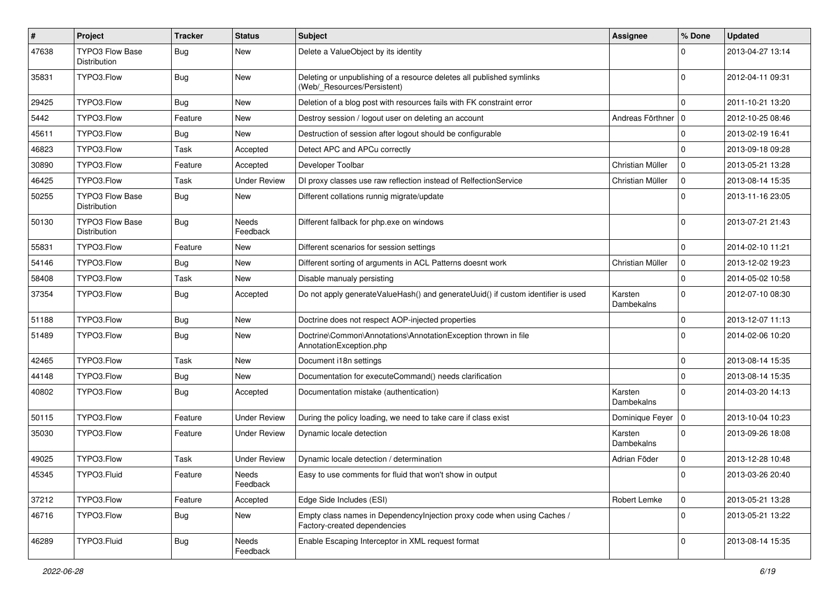| $\#$  | Project                                | <b>Tracker</b> | <b>Status</b>            | <b>Subject</b>                                                                                          | <b>Assignee</b>       | % Done              | <b>Updated</b>   |
|-------|----------------------------------------|----------------|--------------------------|---------------------------------------------------------------------------------------------------------|-----------------------|---------------------|------------------|
| 47638 | <b>TYPO3 Flow Base</b><br>Distribution | <b>Bug</b>     | New                      | Delete a ValueObject by its identity                                                                    |                       | 0                   | 2013-04-27 13:14 |
| 35831 | TYPO3.Flow                             | <b>Bug</b>     | New                      | Deleting or unpublishing of a resource deletes all published symlinks<br>(Web/_Resources/Persistent)    |                       | $\Omega$            | 2012-04-11 09:31 |
| 29425 | TYPO3.Flow                             | Bug            | New                      | Deletion of a blog post with resources fails with FK constraint error                                   |                       | $\mathbf 0$         | 2011-10-21 13:20 |
| 5442  | TYPO3.Flow                             | Feature        | New                      | Destroy session / logout user on deleting an account                                                    | Andreas Förthner   0  |                     | 2012-10-25 08:46 |
| 45611 | TYPO3.Flow                             | <b>Bug</b>     | New                      | Destruction of session after logout should be configurable                                              |                       | $\mathbf 0$         | 2013-02-19 16:41 |
| 46823 | TYPO3.Flow                             | Task           | Accepted                 | Detect APC and APCu correctly                                                                           |                       | $\mathbf 0$         | 2013-09-18 09:28 |
| 30890 | TYPO3.Flow                             | Feature        | Accepted                 | Developer Toolbar                                                                                       | Christian Müller      | $\mathbf 0$         | 2013-05-21 13:28 |
| 46425 | TYPO3.Flow                             | Task           | <b>Under Review</b>      | DI proxy classes use raw reflection instead of RelfectionService                                        | Christian Müller      | $\mathbf 0$         | 2013-08-14 15:35 |
| 50255 | <b>TYPO3 Flow Base</b><br>Distribution | <b>Bug</b>     | New                      | Different collations runnig migrate/update                                                              |                       | $\Omega$            | 2013-11-16 23:05 |
| 50130 | <b>TYPO3 Flow Base</b><br>Distribution | <b>Bug</b>     | <b>Needs</b><br>Feedback | Different fallback for php.exe on windows                                                               |                       | $\Omega$            | 2013-07-21 21:43 |
| 55831 | TYPO3.Flow                             | Feature        | New                      | Different scenarios for session settings                                                                |                       | $\mathbf 0$         | 2014-02-10 11:21 |
| 54146 | TYPO3.Flow                             | <b>Bug</b>     | New                      | Different sorting of arguments in ACL Patterns doesnt work                                              | Christian Müller      | 0                   | 2013-12-02 19:23 |
| 58408 | TYPO3.Flow                             | Task           | New                      | Disable manualy persisting                                                                              |                       | $\mathbf 0$         | 2014-05-02 10:58 |
| 37354 | TYPO3.Flow                             | <b>Bug</b>     | Accepted                 | Do not apply generateValueHash() and generateUuid() if custom identifier is used                        | Karsten<br>Dambekalns | $\mathbf 0$         | 2012-07-10 08:30 |
| 51188 | TYPO3.Flow                             | Bug            | New                      | Doctrine does not respect AOP-injected properties                                                       |                       | $\mathbf 0$         | 2013-12-07 11:13 |
| 51489 | TYPO3.Flow                             | <b>Bug</b>     | New                      | Doctrine\Common\Annotations\AnnotationException thrown in file<br>AnnotationException.php               |                       | $\Omega$            | 2014-02-06 10:20 |
| 42465 | TYPO3.Flow                             | Task           | New                      | Document i18n settings                                                                                  |                       | $\mathbf 0$         | 2013-08-14 15:35 |
| 44148 | TYPO3.Flow                             | <b>Bug</b>     | New                      | Documentation for executeCommand() needs clarification                                                  |                       | $\mathbf 0$         | 2013-08-14 15:35 |
| 40802 | TYPO3.Flow                             | <b>Bug</b>     | Accepted                 | Documentation mistake (authentication)                                                                  | Karsten<br>Dambekalns | $\mathbf 0$         | 2014-03-20 14:13 |
| 50115 | TYPO3.Flow                             | Feature        | Under Review             | During the policy loading, we need to take care if class exist                                          | Dominique Feyer   0   |                     | 2013-10-04 10:23 |
| 35030 | TYPO3.Flow                             | Feature        | Under Review             | Dynamic locale detection                                                                                | Karsten<br>Dambekalns | $\mathbf 0$         | 2013-09-26 18:08 |
| 49025 | TYPO3.Flow                             | Task           | Under Review             | Dynamic locale detection / determination                                                                | Adrian Föder          | $\mathbf 0$         | 2013-12-28 10:48 |
| 45345 | TYPO3.Fluid                            | Feature        | Needs<br>Feedback        | Easy to use comments for fluid that won't show in output                                                |                       |                     | 2013-03-26 20:40 |
| 37212 | TYPO3.Flow                             | Feature        | Accepted                 | Edge Side Includes (ESI)                                                                                | Robert Lemke          | $\overline{0}$      | 2013-05-21 13:28 |
| 46716 | TYPO3.Flow                             | Bug            | New                      | Empty class names in Dependencylnjection proxy code when using Caches /<br>Factory-created dependencies |                       | $\overline{0}$      | 2013-05-21 13:22 |
| 46289 | TYPO3.Fluid                            | <b>Bug</b>     | Needs<br>Feedback        | Enable Escaping Interceptor in XML request format                                                       |                       | $\mathsf{O}\xspace$ | 2013-08-14 15:35 |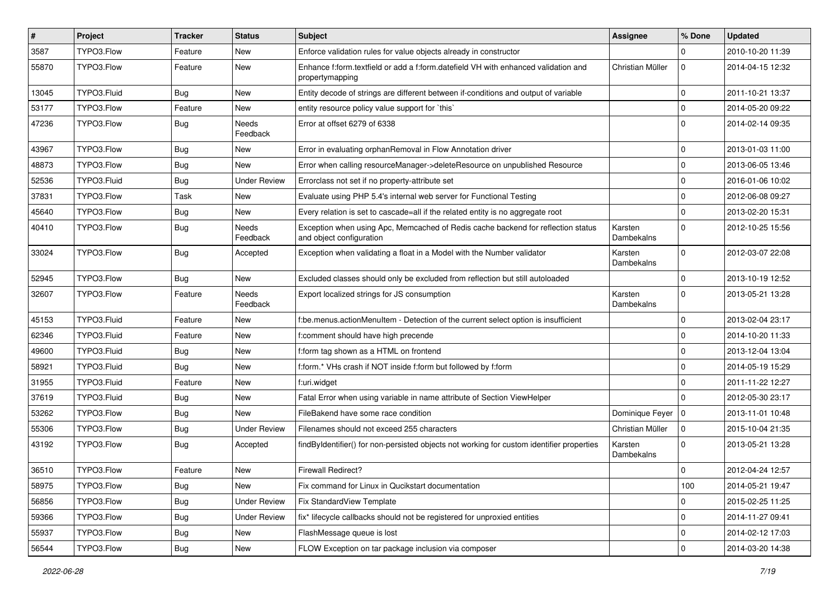| $\vert$ # | Project     | <b>Tracker</b> | <b>Status</b>       | Subject                                                                                                      | <b>Assignee</b>       | % Done              | <b>Updated</b>   |
|-----------|-------------|----------------|---------------------|--------------------------------------------------------------------------------------------------------------|-----------------------|---------------------|------------------|
| 3587      | TYPO3.Flow  | Feature        | New                 | Enforce validation rules for value objects already in constructor                                            |                       | $\Omega$            | 2010-10-20 11:39 |
| 55870     | TYPO3.Flow  | Feature        | New                 | Enhance f:form.textfield or add a f:form.datefield VH with enhanced validation and<br>propertymapping        | Christian Müller      | $\mathbf 0$         | 2014-04-15 12:32 |
| 13045     | TYPO3.Fluid | <b>Bug</b>     | New                 | Entity decode of strings are different between if-conditions and output of variable                          |                       | $\mathbf 0$         | 2011-10-21 13:37 |
| 53177     | TYPO3.Flow  | Feature        | New                 | entity resource policy value support for `this`                                                              |                       | $\mathbf 0$         | 2014-05-20 09:22 |
| 47236     | TYPO3.Flow  | Bug            | Needs<br>Feedback   | Error at offset 6279 of 6338                                                                                 |                       | $\mathbf 0$         | 2014-02-14 09:35 |
| 43967     | TYPO3.Flow  | Bug            | New                 | Error in evaluating orphanRemoval in Flow Annotation driver                                                  |                       | $\mathbf 0$         | 2013-01-03 11:00 |
| 48873     | TYPO3.Flow  | Bug            | New                 | Error when calling resourceManager->deleteResource on unpublished Resource                                   |                       | $\mathbf 0$         | 2013-06-05 13:46 |
| 52536     | TYPO3.Fluid | <b>Bug</b>     | <b>Under Review</b> | Errorclass not set if no property-attribute set                                                              |                       | $\mathbf 0$         | 2016-01-06 10:02 |
| 37831     | TYPO3.Flow  | Task           | New                 | Evaluate using PHP 5.4's internal web server for Functional Testing                                          |                       | $\mathbf 0$         | 2012-06-08 09:27 |
| 45640     | TYPO3.Flow  | <b>Bug</b>     | New                 | Every relation is set to cascade=all if the related entity is no aggregate root                              |                       | $\mathbf 0$         | 2013-02-20 15:31 |
| 40410     | TYPO3.Flow  | <b>Bug</b>     | Needs<br>Feedback   | Exception when using Apc, Memcached of Redis cache backend for reflection status<br>and object configuration | Karsten<br>Dambekalns | $\Omega$            | 2012-10-25 15:56 |
| 33024     | TYPO3.Flow  | <b>Bug</b>     | Accepted            | Exception when validating a float in a Model with the Number validator                                       | Karsten<br>Dambekalns | $\Omega$            | 2012-03-07 22:08 |
| 52945     | TYPO3.Flow  | <b>Bug</b>     | New                 | Excluded classes should only be excluded from reflection but still autoloaded                                |                       | $\Omega$            | 2013-10-19 12:52 |
| 32607     | TYPO3.Flow  | Feature        | Needs<br>Feedback   | Export localized strings for JS consumption                                                                  | Karsten<br>Dambekalns | $\mathbf 0$         | 2013-05-21 13:28 |
| 45153     | TYPO3.Fluid | Feature        | New                 | f:be.menus.actionMenuItem - Detection of the current select option is insufficient                           |                       | $\Omega$            | 2013-02-04 23:17 |
| 62346     | TYPO3.Fluid | Feature        | New                 | f:comment should have high precende                                                                          |                       | $\Omega$            | 2014-10-20 11:33 |
| 49600     | TYPO3.Fluid | <b>Bug</b>     | New                 | f:form tag shown as a HTML on frontend                                                                       |                       | $\mathbf 0$         | 2013-12-04 13:04 |
| 58921     | TYPO3.Fluid | <b>Bug</b>     | New                 | f:form.* VHs crash if NOT inside f:form but followed by f:form                                               |                       | $\mathbf 0$         | 2014-05-19 15:29 |
| 31955     | TYPO3.Fluid | Feature        | New                 | f:uri.widget                                                                                                 |                       | $\mathbf 0$         | 2011-11-22 12:27 |
| 37619     | TYPO3.Fluid | Bug            | New                 | Fatal Error when using variable in name attribute of Section ViewHelper                                      |                       | $\Omega$            | 2012-05-30 23:17 |
| 53262     | TYPO3.Flow  | Bug            | New                 | FileBakend have some race condition                                                                          | Dominique Feyer   0   |                     | 2013-11-01 10:48 |
| 55306     | TYPO3.Flow  | Bug            | <b>Under Review</b> | Filenames should not exceed 255 characters                                                                   | Christian Müller      | $\mathbf 0$         | 2015-10-04 21:35 |
| 43192     | TYPO3.Flow  | Bug            | Accepted            | findByIdentifier() for non-persisted objects not working for custom identifier properties                    | Karsten<br>Dambekalns | $\Omega$            | 2013-05-21 13:28 |
| 36510     | TYPO3.Flow  | Feature        | New                 | <b>Firewall Redirect?</b>                                                                                    |                       | $\mathbf 0$         | 2012-04-24 12:57 |
| 58975     | TYPO3.Flow  | Bug            | New                 | Fix command for Linux in Qucikstart documentation                                                            |                       | 100                 | 2014-05-21 19:47 |
| 56856     | TYPO3.Flow  | <b>Bug</b>     | <b>Under Review</b> | Fix StandardView Template                                                                                    |                       | 0                   | 2015-02-25 11:25 |
| 59366     | TYPO3.Flow  | <b>Bug</b>     | <b>Under Review</b> | fix* lifecycle callbacks should not be registered for unproxied entities                                     |                       | $\mathsf{O}\xspace$ | 2014-11-27 09:41 |
| 55937     | TYPO3.Flow  | Bug            | New                 | FlashMessage queue is lost                                                                                   |                       | 0                   | 2014-02-12 17:03 |
| 56544     | TYPO3.Flow  | <b>Bug</b>     | New                 | FLOW Exception on tar package inclusion via composer                                                         |                       | $\mathbf 0$         | 2014-03-20 14:38 |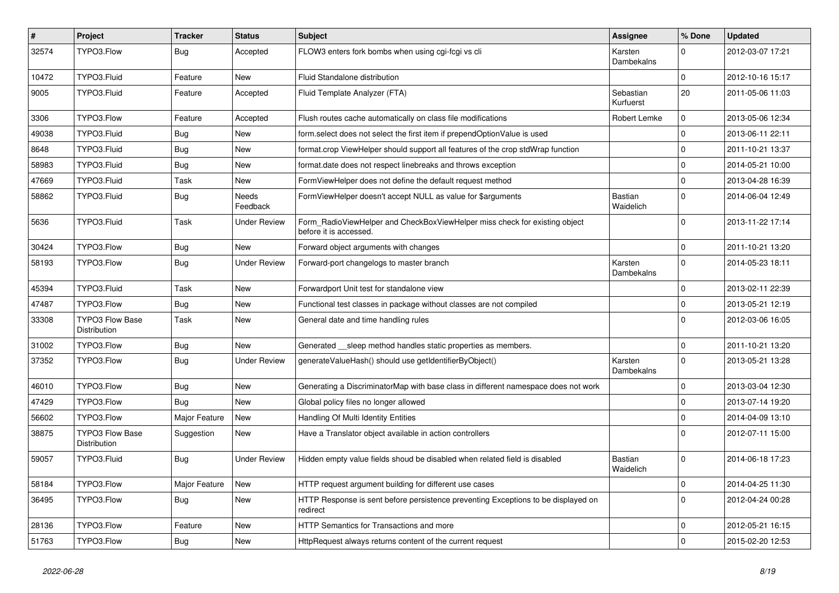| #     | Project                                | <b>Tracker</b> | <b>Status</b>       | <b>Subject</b>                                                                                       | <b>Assignee</b>             | % Done      | <b>Updated</b>   |
|-------|----------------------------------------|----------------|---------------------|------------------------------------------------------------------------------------------------------|-----------------------------|-------------|------------------|
| 32574 | TYPO3.Flow                             | <b>Bug</b>     | Accepted            | FLOW3 enters fork bombs when using cgi-fcgi vs cli                                                   | Karsten<br>Dambekalns       | $\Omega$    | 2012-03-07 17:21 |
| 10472 | TYPO3.Fluid                            | Feature        | <b>New</b>          | Fluid Standalone distribution                                                                        |                             | $\Omega$    | 2012-10-16 15:17 |
| 9005  | TYPO3.Fluid                            | Feature        | Accepted            | Fluid Template Analyzer (FTA)                                                                        | Sebastian<br>Kurfuerst      | 20          | 2011-05-06 11:03 |
| 3306  | TYPO3.Flow                             | Feature        | Accepted            | Flush routes cache automatically on class file modifications                                         | Robert Lemke                | 0           | 2013-05-06 12:34 |
| 49038 | TYPO3.Fluid                            | <b>Bug</b>     | New                 | form.select does not select the first item if prependOptionValue is used                             |                             | $\Omega$    | 2013-06-11 22:11 |
| 8648  | TYPO3.Fluid                            | <b>Bug</b>     | New                 | format.crop ViewHelper should support all features of the crop stdWrap function                      |                             | $\mathbf 0$ | 2011-10-21 13:37 |
| 58983 | TYPO3.Fluid                            | <b>Bug</b>     | New                 | format.date does not respect linebreaks and throws exception                                         |                             | $\Omega$    | 2014-05-21 10:00 |
| 47669 | TYPO3.Fluid                            | Task           | New                 | FormViewHelper does not define the default request method                                            |                             | $\mathbf 0$ | 2013-04-28 16:39 |
| 58862 | TYPO3.Fluid                            | <b>Bug</b>     | Needs<br>Feedback   | FormViewHelper doesn't accept NULL as value for \$arguments                                          | <b>Bastian</b><br>Waidelich | $\Omega$    | 2014-06-04 12:49 |
| 5636  | TYPO3.Fluid                            | Task           | <b>Under Review</b> | Form_RadioViewHelper and CheckBoxViewHelper miss check for existing object<br>before it is accessed. |                             | $\Omega$    | 2013-11-22 17:14 |
| 30424 | TYPO3.Flow                             | <b>Bug</b>     | New                 | Forward object arguments with changes                                                                |                             | $\Omega$    | 2011-10-21 13:20 |
| 58193 | TYPO3.Flow                             | <b>Bug</b>     | <b>Under Review</b> | Forward-port changelogs to master branch                                                             | Karsten<br>Dambekalns       | 0           | 2014-05-23 18:11 |
| 45394 | TYPO3.Fluid                            | Task           | New                 | Forwardport Unit test for standalone view                                                            |                             | 0           | 2013-02-11 22:39 |
| 47487 | TYPO3.Flow                             | <b>Bug</b>     | New                 | Functional test classes in package without classes are not compiled                                  |                             | $\mathbf 0$ | 2013-05-21 12:19 |
| 33308 | <b>TYPO3 Flow Base</b><br>Distribution | Task           | New                 | General date and time handling rules                                                                 |                             | $\Omega$    | 2012-03-06 16:05 |
| 31002 | TYPO3.Flow                             | <b>Bug</b>     | New                 | Generated __sleep method handles static properties as members.                                       |                             | $\Omega$    | 2011-10-21 13:20 |
| 37352 | TYPO3.Flow                             | <b>Bug</b>     | <b>Under Review</b> | generateValueHash() should use getIdentifierByObject()                                               | Karsten<br>Dambekalns       | $\Omega$    | 2013-05-21 13:28 |
| 46010 | TYPO3.Flow                             | <b>Bug</b>     | New                 | Generating a DiscriminatorMap with base class in different namespace does not work                   |                             | $\Omega$    | 2013-03-04 12:30 |
| 47429 | TYPO3.Flow                             | Bug            | New                 | Global policy files no longer allowed                                                                |                             | 0           | 2013-07-14 19:20 |
| 56602 | TYPO3.Flow                             | Major Feature  | New                 | Handling Of Multi Identity Entities                                                                  |                             | $\mathbf 0$ | 2014-04-09 13:10 |
| 38875 | <b>TYPO3 Flow Base</b><br>Distribution | Suggestion     | New                 | Have a Translator object available in action controllers                                             |                             | $\Omega$    | 2012-07-11 15:00 |
| 59057 | TYPO3.Fluid                            | Bug            | Under Review        | Hidden empty value fields shoud be disabled when related field is disabled                           | Bastian<br>Waidelich        | $\Omega$    | 2014-06-18 17:23 |
| 58184 | TYPO3.Flow                             | Major Feature  | New                 | HTTP request argument building for different use cases                                               |                             | $\mathbf 0$ | 2014-04-25 11:30 |
| 36495 | TYPO3.Flow                             | <b>Bug</b>     | New                 | HTTP Response is sent before persistence preventing Exceptions to be displayed on<br>redirect        |                             | 0           | 2012-04-24 00:28 |
| 28136 | TYPO3.Flow                             | Feature        | New                 | HTTP Semantics for Transactions and more                                                             |                             | 0           | 2012-05-21 16:15 |
| 51763 | TYPO3.Flow                             | Bug            | New                 | HttpRequest always returns content of the current request                                            |                             | 0           | 2015-02-20 12:53 |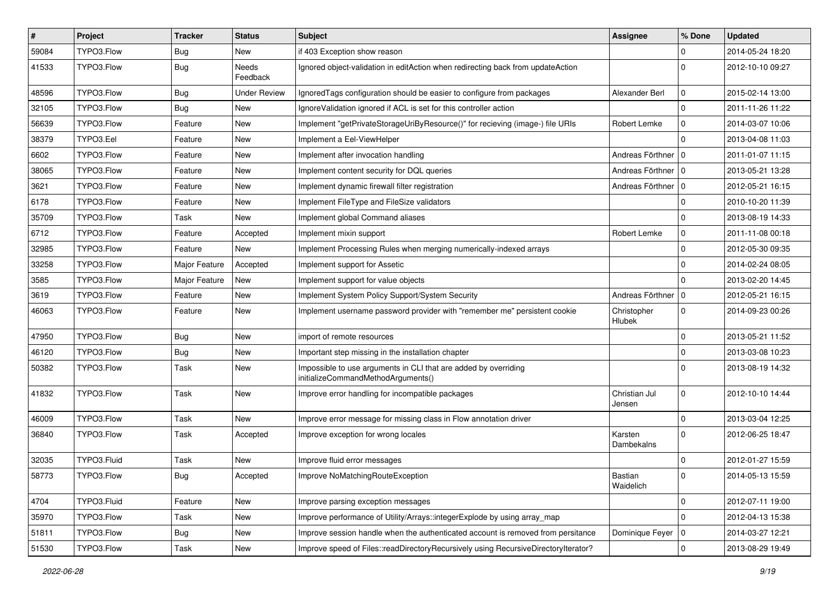| #     | Project     | <b>Tracker</b> | <b>Status</b>            | <b>Subject</b>                                                                                        | <b>Assignee</b>         | % Done         | <b>Updated</b>   |
|-------|-------------|----------------|--------------------------|-------------------------------------------------------------------------------------------------------|-------------------------|----------------|------------------|
| 59084 | TYPO3.Flow  | <b>Bug</b>     | New                      | if 403 Exception show reason                                                                          |                         | $\Omega$       | 2014-05-24 18:20 |
| 41533 | TYPO3.Flow  | <b>Bug</b>     | <b>Needs</b><br>Feedback | Ignored object-validation in editAction when redirecting back from updateAction                       |                         | $\Omega$       | 2012-10-10 09:27 |
| 48596 | TYPO3.Flow  | <b>Bug</b>     | <b>Under Review</b>      | Ignored Tags configuration should be easier to configure from packages                                | Alexander Berl          | $\mathbf 0$    | 2015-02-14 13:00 |
| 32105 | TYPO3.Flow  | <b>Bug</b>     | New                      | Ignore Validation ignored if ACL is set for this controller action                                    |                         | $\Omega$       | 2011-11-26 11:22 |
| 56639 | TYPO3.Flow  | Feature        | New                      | Implement "getPrivateStorageUriByResource()" for recieving (image-) file URIs                         | Robert Lemke            | $\mathbf 0$    | 2014-03-07 10:06 |
| 38379 | TYPO3.Eel   | Feature        | New                      | Implement a Eel-ViewHelper                                                                            |                         | $\Omega$       | 2013-04-08 11:03 |
| 6602  | TYPO3.Flow  | Feature        | New                      | Implement after invocation handling                                                                   | Andreas Förthner   0    |                | 2011-01-07 11:15 |
| 38065 | TYPO3.Flow  | Feature        | New                      | Implement content security for DQL queries                                                            | Andreas Förthner   0    |                | 2013-05-21 13:28 |
| 3621  | TYPO3.Flow  | Feature        | New                      | Implement dynamic firewall filter registration                                                        | Andreas Förthner   0    |                | 2012-05-21 16:15 |
| 6178  | TYPO3.Flow  | Feature        | New                      | Implement FileType and FileSize validators                                                            |                         | $\Omega$       | 2010-10-20 11:39 |
| 35709 | TYPO3.Flow  | Task           | New                      | Implement global Command aliases                                                                      |                         | $\Omega$       | 2013-08-19 14:33 |
| 6712  | TYPO3.Flow  | Feature        | Accepted                 | Implement mixin support                                                                               | Robert Lemke            | $\mathbf 0$    | 2011-11-08 00:18 |
| 32985 | TYPO3.Flow  | Feature        | New                      | Implement Processing Rules when merging numerically-indexed arrays                                    |                         | $\mathbf 0$    | 2012-05-30 09:35 |
| 33258 | TYPO3.Flow  | Major Feature  | Accepted                 | Implement support for Assetic                                                                         |                         | $\Omega$       | 2014-02-24 08:05 |
| 3585  | TYPO3.Flow  | Major Feature  | New                      | Implement support for value objects                                                                   |                         | $\Omega$       | 2013-02-20 14:45 |
| 3619  | TYPO3.Flow  | Feature        | New                      | Implement System Policy Support/System Security                                                       | Andreas Förthner   0    |                | 2012-05-21 16:15 |
| 46063 | TYPO3.Flow  | Feature        | New                      | Implement username password provider with "remember me" persistent cookie                             | Christopher<br>Hlubek   | $\mathbf{0}$   | 2014-09-23 00:26 |
| 47950 | TYPO3.Flow  | <b>Bug</b>     | New                      | import of remote resources                                                                            |                         | $\Omega$       | 2013-05-21 11:52 |
| 46120 | TYPO3.Flow  | <b>Bug</b>     | New                      | Important step missing in the installation chapter                                                    |                         | $\mathbf 0$    | 2013-03-08 10:23 |
| 50382 | TYPO3.Flow  | Task           | New                      | Impossible to use arguments in CLI that are added by overriding<br>initializeCommandMethodArguments() |                         | $\Omega$       | 2013-08-19 14:32 |
| 41832 | TYPO3.Flow  | Task           | New                      | Improve error handling for incompatible packages                                                      | Christian Jul<br>Jensen | $\mathbf 0$    | 2012-10-10 14:44 |
| 46009 | TYPO3.Flow  | Task           | New                      | Improve error message for missing class in Flow annotation driver                                     |                         | $\Omega$       | 2013-03-04 12:25 |
| 36840 | TYPO3.Flow  | Task           | Accepted                 | Improve exception for wrong locales                                                                   | Karsten<br>Dambekalns   | $\Omega$       | 2012-06-25 18:47 |
| 32035 | TYPO3.Fluid | Task           | New                      | Improve fluid error messages                                                                          |                         | $\mathbf 0$    | 2012-01-27 15:59 |
| 58773 | TYPO3.Flow  | Bug            | Accepted                 | Improve NoMatchingRouteException                                                                      | Bastian<br>Waidelich    | 0              | 2014-05-13 15:59 |
| 4704  | TYPO3.Fluid | Feature        | New                      | Improve parsing exception messages                                                                    |                         | $\mathbf 0$    | 2012-07-11 19:00 |
| 35970 | TYPO3.Flow  | Task           | New                      | Improve performance of Utility/Arrays::integerExplode by using array_map                              |                         | $\Omega$       | 2012-04-13 15:38 |
| 51811 | TYPO3.Flow  | <b>Bug</b>     | New                      | Improve session handle when the authenticated account is removed from persitance                      | Dominique Feyer   0     |                | 2014-03-27 12:21 |
| 51530 | TYPO3.Flow  | Task           | New                      | Improve speed of Files::readDirectoryRecursively using RecursiveDirectoryIterator?                    |                         | $\overline{0}$ | 2013-08-29 19:49 |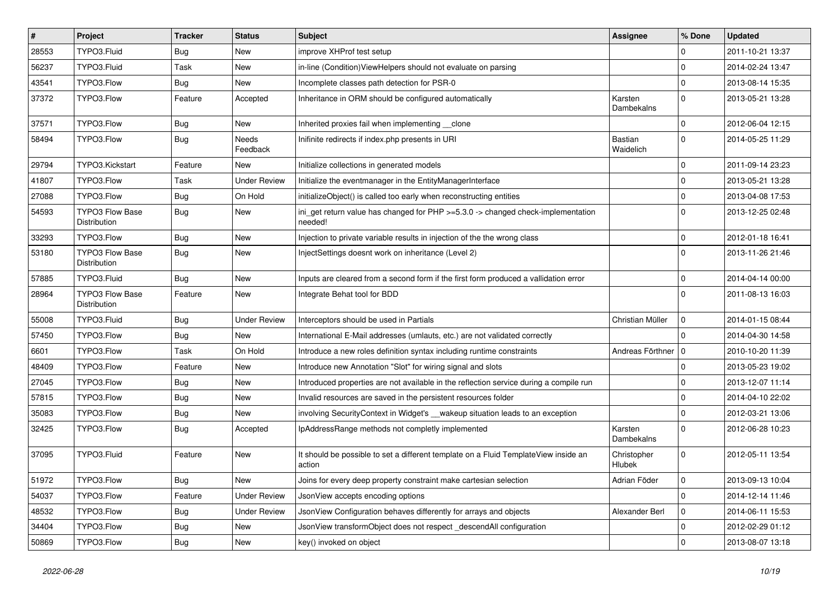| $\vert$ # | Project                                | <b>Tracker</b> | <b>Status</b>       | Subject                                                                                                  | Assignee              | % Done              | <b>Updated</b>   |
|-----------|----------------------------------------|----------------|---------------------|----------------------------------------------------------------------------------------------------------|-----------------------|---------------------|------------------|
| 28553     | TYPO3.Fluid                            | <b>Bug</b>     | New                 | improve XHProf test setup                                                                                |                       | $\mathbf 0$         | 2011-10-21 13:37 |
| 56237     | TYPO3.Fluid                            | Task           | New                 | in-line (Condition) ViewHelpers should not evaluate on parsing                                           |                       | $\mathbf 0$         | 2014-02-24 13:47 |
| 43541     | TYPO3.Flow                             | Bug            | New                 | Incomplete classes path detection for PSR-0                                                              |                       | $\mathbf 0$         | 2013-08-14 15:35 |
| 37372     | TYPO3.Flow                             | Feature        | Accepted            | Inheritance in ORM should be configured automatically                                                    | Karsten<br>Dambekalns | $\mathbf 0$         | 2013-05-21 13:28 |
| 37571     | TYPO3.Flow                             | <b>Bug</b>     | New                 | Inherited proxies fail when implementing clone                                                           |                       | $\mathbf 0$         | 2012-06-04 12:15 |
| 58494     | TYPO3.Flow                             | <b>Bug</b>     | Needs<br>Feedback   | Inifinite redirects if index.php presents in URI                                                         | Bastian<br>Waidelich  | $\Omega$            | 2014-05-25 11:29 |
| 29794     | TYPO3.Kickstart                        | Feature        | New                 | Initialize collections in generated models                                                               |                       | $\Omega$            | 2011-09-14 23:23 |
| 41807     | TYPO3.Flow                             | Task           | <b>Under Review</b> | Initialize the eventmanager in the EntityManagerInterface                                                |                       | $\mathbf 0$         | 2013-05-21 13:28 |
| 27088     | TYPO3.Flow                             | Bug            | On Hold             | initializeObject() is called too early when reconstructing entities                                      |                       | $\mathbf 0$         | 2013-04-08 17:53 |
| 54593     | <b>TYPO3 Flow Base</b><br>Distribution | Bug            | New                 | ini_get return value has changed for $PHP \ge 5.3.0 \rightarrow$ changed check-implementation<br>needed! |                       | $\Omega$            | 2013-12-25 02:48 |
| 33293     | TYPO3.Flow                             | <b>Bug</b>     | New                 | Injection to private variable results in injection of the the wrong class                                |                       | $\mathbf 0$         | 2012-01-18 16:41 |
| 53180     | <b>TYPO3 Flow Base</b><br>Distribution | Bug            | New                 | InjectSettings doesnt work on inheritance (Level 2)                                                      |                       | $\Omega$            | 2013-11-26 21:46 |
| 57885     | TYPO3.Fluid                            | Bug            | New                 | Inputs are cleared from a second form if the first form produced a vallidation error                     |                       | $\Omega$            | 2014-04-14 00:00 |
| 28964     | TYPO3 Flow Base<br>Distribution        | Feature        | New                 | Integrate Behat tool for BDD                                                                             |                       | $\Omega$            | 2011-08-13 16:03 |
| 55008     | TYPO3.Fluid                            | <b>Bug</b>     | <b>Under Review</b> | Interceptors should be used in Partials                                                                  | Christian Müller      | $\mathbf 0$         | 2014-01-15 08:44 |
| 57450     | TYPO3.Flow                             | <b>Bug</b>     | New                 | International E-Mail addresses (umlauts, etc.) are not validated correctly                               |                       | $\Omega$            | 2014-04-30 14:58 |
| 6601      | TYPO3.Flow                             | Task           | On Hold             | Introduce a new roles definition syntax including runtime constraints                                    | Andreas Förthner   0  |                     | 2010-10-20 11:39 |
| 48409     | TYPO3.Flow                             | Feature        | New                 | Introduce new Annotation "Slot" for wiring signal and slots                                              |                       | $\Omega$            | 2013-05-23 19:02 |
| 27045     | TYPO3.Flow                             | <b>Bug</b>     | New                 | Introduced properties are not available in the reflection service during a compile run                   |                       | $\mathbf 0$         | 2013-12-07 11:14 |
| 57815     | TYPO3.Flow                             | <b>Bug</b>     | New                 | Invalid resources are saved in the persistent resources folder                                           |                       | $\mathbf 0$         | 2014-04-10 22:02 |
| 35083     | TYPO3.Flow                             | Bug            | New                 | involving SecurityContext in Widget's __wakeup situation leads to an exception                           |                       | $\mathbf 0$         | 2012-03-21 13:06 |
| 32425     | TYPO3.Flow                             | <b>Bug</b>     | Accepted            | IpAddressRange methods not completly implemented                                                         | Karsten<br>Dambekalns | $\Omega$            | 2012-06-28 10:23 |
| 37095     | TYPO3.Fluid                            | Feature        | New                 | It should be possible to set a different template on a Fluid TemplateView inside an<br>action            | Christopher<br>Hlubek | $\mathbf 0$         | 2012-05-11 13:54 |
| 51972     | TYPO3.Flow                             | <b>Bug</b>     | New                 | Joins for every deep property constraint make cartesian selection                                        | Adrian Föder          | 0                   | 2013-09-13 10:04 |
| 54037     | TYPO3.Flow                             | Feature        | <b>Under Review</b> | JsonView accepts encoding options                                                                        |                       | 0                   | 2014-12-14 11:46 |
| 48532     | TYPO3.Flow                             | <b>Bug</b>     | <b>Under Review</b> | JsonView Configuration behaves differently for arrays and objects                                        | Alexander Berl        | $\mathsf{O}\xspace$ | 2014-06-11 15:53 |
| 34404     | TYPO3.Flow                             | <b>Bug</b>     | New                 | JsonView transformObject does not respect _descendAll configuration                                      |                       | 0                   | 2012-02-29 01:12 |
| 50869     | TYPO3.Flow                             | Bug            | New                 | key() invoked on object                                                                                  |                       | $\pmb{0}$           | 2013-08-07 13:18 |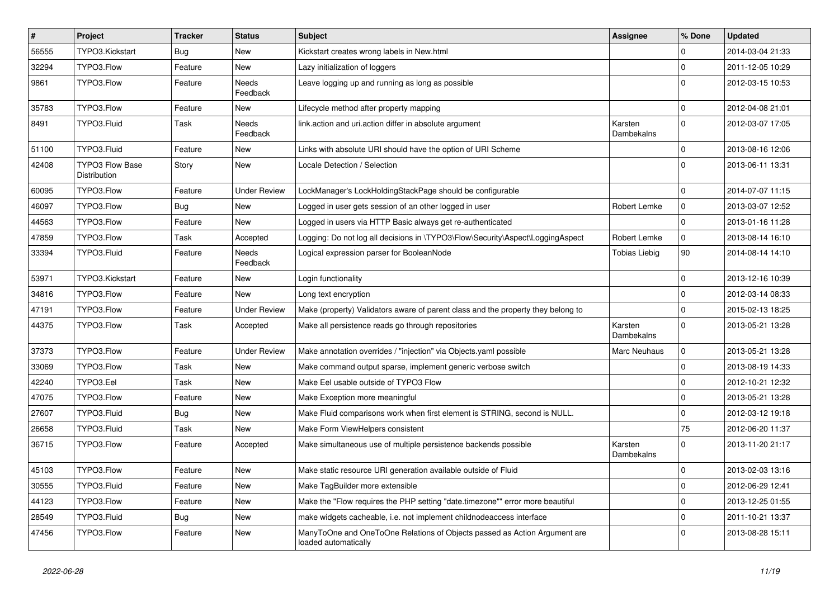| $\pmb{\#}$ | Project                                | <b>Tracker</b> | <b>Status</b>            | <b>Subject</b>                                                                                    | <b>Assignee</b>       | % Done      | <b>Updated</b>   |
|------------|----------------------------------------|----------------|--------------------------|---------------------------------------------------------------------------------------------------|-----------------------|-------------|------------------|
| 56555      | TYPO3.Kickstart                        | Bug            | <b>New</b>               | Kickstart creates wrong labels in New.html                                                        |                       | 0           | 2014-03-04 21:33 |
| 32294      | TYPO3.Flow                             | Feature        | New                      | Lazy initialization of loggers                                                                    |                       | $\mathbf 0$ | 2011-12-05 10:29 |
| 9861       | TYPO3.Flow                             | Feature        | <b>Needs</b><br>Feedback | Leave logging up and running as long as possible                                                  |                       | $\Omega$    | 2012-03-15 10:53 |
| 35783      | TYPO3.Flow                             | Feature        | New                      | Lifecycle method after property mapping                                                           |                       | $\mathbf 0$ | 2012-04-08 21:01 |
| 8491       | TYPO3.Fluid                            | Task           | Needs<br>Feedback        | link.action and uri.action differ in absolute argument                                            | Karsten<br>Dambekalns | $\mathbf 0$ | 2012-03-07 17:05 |
| 51100      | TYPO3.Fluid                            | Feature        | New                      | Links with absolute URI should have the option of URI Scheme                                      |                       | $\mathbf 0$ | 2013-08-16 12:06 |
| 42408      | <b>TYPO3 Flow Base</b><br>Distribution | Story          | New                      | Locale Detection / Selection                                                                      |                       | $\Omega$    | 2013-06-11 13:31 |
| 60095      | TYPO3.Flow                             | Feature        | <b>Under Review</b>      | LockManager's LockHoldingStackPage should be configurable                                         |                       | $\mathbf 0$ | 2014-07-07 11:15 |
| 46097      | TYPO3.Flow                             | <b>Bug</b>     | <b>New</b>               | Logged in user gets session of an other logged in user                                            | Robert Lemke          | $\mathbf 0$ | 2013-03-07 12:52 |
| 44563      | TYPO3.Flow                             | Feature        | <b>New</b>               | Logged in users via HTTP Basic always get re-authenticated                                        |                       | $\Omega$    | 2013-01-16 11:28 |
| 47859      | TYPO3.Flow                             | Task           | Accepted                 | Logging: Do not log all decisions in \TYPO3\Flow\Security\Aspect\LoggingAspect                    | Robert Lemke          | $\mathbf 0$ | 2013-08-14 16:10 |
| 33394      | TYPO3.Fluid                            | Feature        | <b>Needs</b><br>Feedback | Logical expression parser for BooleanNode                                                         | <b>Tobias Liebig</b>  | 90          | 2014-08-14 14:10 |
| 53971      | TYPO3.Kickstart                        | Feature        | New                      | Login functionality                                                                               |                       | $\mathbf 0$ | 2013-12-16 10:39 |
| 34816      | TYPO3.Flow                             | Feature        | New                      | Long text encryption                                                                              |                       | $\mathbf 0$ | 2012-03-14 08:33 |
| 47191      | TYPO3.Flow                             | Feature        | <b>Under Review</b>      | Make (property) Validators aware of parent class and the property they belong to                  |                       | $\mathbf 0$ | 2015-02-13 18:25 |
| 44375      | TYPO3.Flow                             | Task           | Accepted                 | Make all persistence reads go through repositories                                                | Karsten<br>Dambekalns | $\Omega$    | 2013-05-21 13:28 |
| 37373      | TYPO3.Flow                             | Feature        | <b>Under Review</b>      | Make annotation overrides / "injection" via Objects yaml possible                                 | <b>Marc Neuhaus</b>   | $\mathbf 0$ | 2013-05-21 13:28 |
| 33069      | TYPO3.Flow                             | Task           | New                      | Make command output sparse, implement generic verbose switch                                      |                       | $\mathbf 0$ | 2013-08-19 14:33 |
| 42240      | TYPO3.Eel                              | Task           | New                      | Make Eel usable outside of TYPO3 Flow                                                             |                       | $\mathbf 0$ | 2012-10-21 12:32 |
| 47075      | TYPO3.Flow                             | Feature        | New                      | Make Exception more meaningful                                                                    |                       | $\mathbf 0$ | 2013-05-21 13:28 |
| 27607      | TYPO3.Fluid                            | <b>Bug</b>     | New                      | Make Fluid comparisons work when first element is STRING, second is NULL.                         |                       | $\mathbf 0$ | 2012-03-12 19:18 |
| 26658      | TYPO3.Fluid                            | Task           | New                      | Make Form ViewHelpers consistent                                                                  |                       | 75          | 2012-06-20 11:37 |
| 36715      | TYPO3.Flow                             | Feature        | Accepted                 | Make simultaneous use of multiple persistence backends possible                                   | Karsten<br>Dambekalns | $\Omega$    | 2013-11-20 21:17 |
| 45103      | TYPO3.Flow                             | Feature        | New                      | Make static resource URI generation available outside of Fluid                                    |                       | $\mathbf 0$ | 2013-02-03 13:16 |
| 30555      | TYPO3.Fluid                            | Feature        | New                      | Make TagBuilder more extensible                                                                   |                       | $\mathbf 0$ | 2012-06-29 12:41 |
| 44123      | TYPO3.Flow                             | Feature        | New                      | Make the "Flow requires the PHP setting "date.timezone"" error more beautiful                     |                       | $\mathbf 0$ | 2013-12-25 01:55 |
| 28549      | TYPO3.Fluid                            | Bug            | New                      | make widgets cacheable, i.e. not implement childnodeaccess interface                              |                       | $\mathbf 0$ | 2011-10-21 13:37 |
| 47456      | TYPO3.Flow                             | Feature        | New                      | ManyToOne and OneToOne Relations of Objects passed as Action Argument are<br>loaded automatically |                       | $\Omega$    | 2013-08-28 15:11 |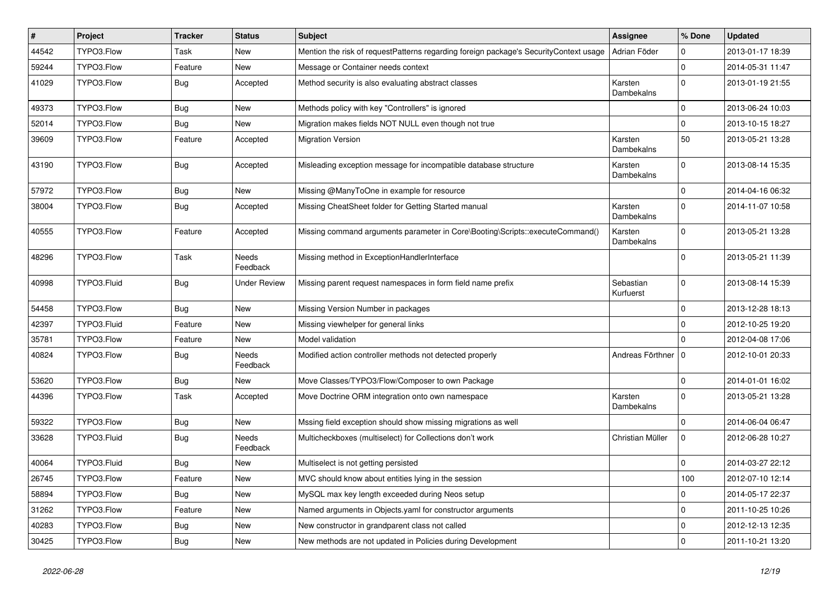| #     | Project     | <b>Tracker</b> | <b>Status</b>            | <b>Subject</b>                                                                        | Assignee               | % Done       | <b>Updated</b>   |
|-------|-------------|----------------|--------------------------|---------------------------------------------------------------------------------------|------------------------|--------------|------------------|
| 44542 | TYPO3.Flow  | <b>Task</b>    | New                      | Mention the risk of requestPatterns regarding foreign package's SecurityContext usage | Adrian Föder           | 0            | 2013-01-17 18:39 |
| 59244 | TYPO3.Flow  | Feature        | <b>New</b>               | Message or Container needs context                                                    |                        | $\mathbf 0$  | 2014-05-31 11:47 |
| 41029 | TYPO3.Flow  | <b>Bug</b>     | Accepted                 | Method security is also evaluating abstract classes                                   | Karsten<br>Dambekalns  | $\mathbf{0}$ | 2013-01-19 21:55 |
| 49373 | TYPO3.Flow  | <b>Bug</b>     | New                      | Methods policy with key "Controllers" is ignored                                      |                        | $\mathbf 0$  | 2013-06-24 10:03 |
| 52014 | TYPO3.Flow  | Bug            | New                      | Migration makes fields NOT NULL even though not true                                  |                        | $\mathbf 0$  | 2013-10-15 18:27 |
| 39609 | TYPO3.Flow  | Feature        | Accepted                 | <b>Migration Version</b>                                                              | Karsten<br>Dambekalns  | 50           | 2013-05-21 13:28 |
| 43190 | TYPO3.Flow  | <b>Bug</b>     | Accepted                 | Misleading exception message for incompatible database structure                      | Karsten<br>Dambekalns  | $\Omega$     | 2013-08-14 15:35 |
| 57972 | TYPO3.Flow  | <b>Bug</b>     | New                      | Missing @ManyToOne in example for resource                                            |                        | $\mathbf 0$  | 2014-04-16 06:32 |
| 38004 | TYPO3.Flow  | <b>Bug</b>     | Accepted                 | Missing CheatSheet folder for Getting Started manual                                  | Karsten<br>Dambekalns  | $\Omega$     | 2014-11-07 10:58 |
| 40555 | TYPO3.Flow  | Feature        | Accepted                 | Missing command arguments parameter in Core\Booting\Scripts::executeCommand()         | Karsten<br>Dambekalns  | $\mathbf{0}$ | 2013-05-21 13:28 |
| 48296 | TYPO3.Flow  | <b>Task</b>    | Needs<br>Feedback        | Missing method in ExceptionHandlerInterface                                           |                        | $\mathbf{0}$ | 2013-05-21 11:39 |
| 40998 | TYPO3.Fluid | <b>Bug</b>     | <b>Under Review</b>      | Missing parent request namespaces in form field name prefix                           | Sebastian<br>Kurfuerst | $\mathbf{0}$ | 2013-08-14 15:39 |
| 54458 | TYPO3.Flow  | Bug            | New                      | Missing Version Number in packages                                                    |                        | $\mathbf{0}$ | 2013-12-28 18:13 |
| 42397 | TYPO3.Fluid | Feature        | New                      | Missing viewhelper for general links                                                  |                        | $\mathbf{0}$ | 2012-10-25 19:20 |
| 35781 | TYPO3.Flow  | Feature        | New                      | Model validation                                                                      |                        | $\Omega$     | 2012-04-08 17:06 |
| 40824 | TYPO3.Flow  | <b>Bug</b>     | Needs<br>Feedback        | Modified action controller methods not detected properly                              | Andreas Förthner   0   |              | 2012-10-01 20:33 |
| 53620 | TYPO3.Flow  | <b>Bug</b>     | New                      | Move Classes/TYPO3/Flow/Composer to own Package                                       |                        | $\mathbf 0$  | 2014-01-01 16:02 |
| 44396 | TYPO3.Flow  | Task           | Accepted                 | Move Doctrine ORM integration onto own namespace                                      | Karsten<br>Dambekalns  | $\Omega$     | 2013-05-21 13:28 |
| 59322 | TYPO3.Flow  | <b>Bug</b>     | New                      | Mssing field exception should show missing migrations as well                         |                        | $\mathbf{0}$ | 2014-06-04 06:47 |
| 33628 | TYPO3.Fluid | <b>Bug</b>     | <b>Needs</b><br>Feedback | Multicheckboxes (multiselect) for Collections don't work                              | Christian Müller       | $\Omega$     | 2012-06-28 10:27 |
| 40064 | TYPO3.Fluid | <b>Bug</b>     | New                      | Multiselect is not getting persisted                                                  |                        | $\Omega$     | 2014-03-27 22:12 |
| 26745 | TYPO3.Flow  | Feature        | New                      | MVC should know about entities lying in the session                                   |                        | 100          | 2012-07-10 12:14 |
| 58894 | TYPO3.Flow  | <b>Bug</b>     | New                      | MySQL max key length exceeded during Neos setup                                       |                        | $\mathbf 0$  | 2014-05-17 22:37 |
| 31262 | TYPO3.Flow  | Feature        | New                      | Named arguments in Objects.yaml for constructor arguments                             |                        | $\mathbf 0$  | 2011-10-25 10:26 |
| 40283 | TYPO3.Flow  | Bug            | New                      | New constructor in grandparent class not called                                       |                        | $\mathbf 0$  | 2012-12-13 12:35 |
| 30425 | TYPO3.Flow  | <b>Bug</b>     | New                      | New methods are not updated in Policies during Development                            |                        | $\pmb{0}$    | 2011-10-21 13:20 |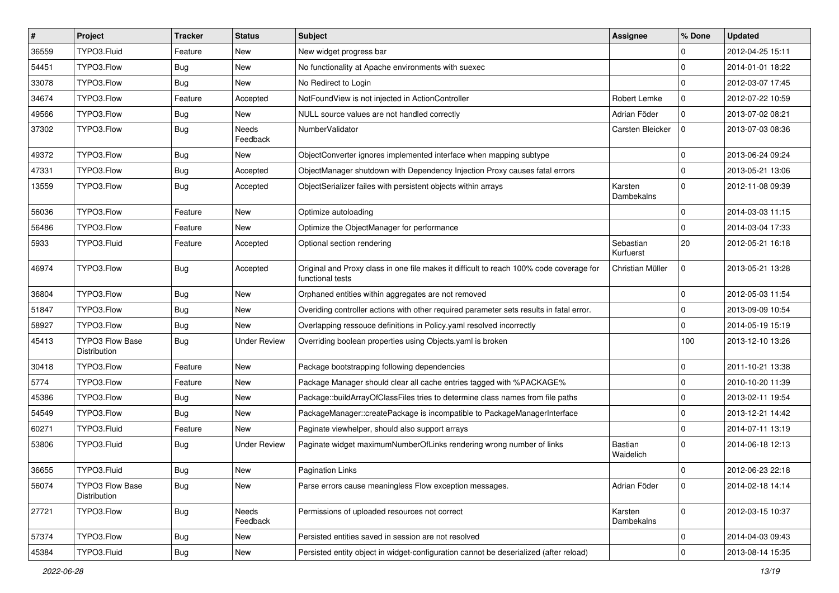| $\vert$ # | Project                                | <b>Tracker</b> | <b>Status</b>       | Subject                                                                                                     | <b>Assignee</b>        | % Done              | <b>Updated</b>   |
|-----------|----------------------------------------|----------------|---------------------|-------------------------------------------------------------------------------------------------------------|------------------------|---------------------|------------------|
| 36559     | TYPO3.Fluid                            | Feature        | New                 | New widget progress bar                                                                                     |                        | $\mathbf 0$         | 2012-04-25 15:11 |
| 54451     | TYPO3.Flow                             | <b>Bug</b>     | New                 | No functionality at Apache environments with suexec                                                         |                        | $\mathbf 0$         | 2014-01-01 18:22 |
| 33078     | TYPO3.Flow                             | Bug            | New                 | No Redirect to Login                                                                                        |                        | $\mathbf 0$         | 2012-03-07 17:45 |
| 34674     | TYPO3.Flow                             | Feature        | Accepted            | NotFoundView is not injected in ActionController                                                            | Robert Lemke           | 0                   | 2012-07-22 10:59 |
| 49566     | TYPO3.Flow                             | <b>Bug</b>     | New                 | NULL source values are not handled correctly                                                                | Adrian Föder           | $\mathbf 0$         | 2013-07-02 08:21 |
| 37302     | TYPO3.Flow                             | Bug            | Needs<br>Feedback   | NumberValidator                                                                                             | Carsten Bleicker       | $\mathbf 0$         | 2013-07-03 08:36 |
| 49372     | TYPO3.Flow                             | <b>Bug</b>     | New                 | ObjectConverter ignores implemented interface when mapping subtype                                          |                        | $\mathbf 0$         | 2013-06-24 09:24 |
| 47331     | TYPO3.Flow                             | <b>Bug</b>     | Accepted            | ObjectManager shutdown with Dependency Injection Proxy causes fatal errors                                  |                        | $\mathbf 0$         | 2013-05-21 13:06 |
| 13559     | TYPO3.Flow                             | Bug            | Accepted            | ObjectSerializer failes with persistent objects within arrays                                               | Karsten<br>Dambekalns  | $\Omega$            | 2012-11-08 09:39 |
| 56036     | TYPO3.Flow                             | Feature        | New                 | Optimize autoloading                                                                                        |                        | $\mathbf 0$         | 2014-03-03 11:15 |
| 56486     | TYPO3.Flow                             | Feature        | New                 | Optimize the ObjectManager for performance                                                                  |                        | $\mathbf 0$         | 2014-03-04 17:33 |
| 5933      | TYPO3.Fluid                            | Feature        | Accepted            | Optional section rendering                                                                                  | Sebastian<br>Kurfuerst | 20                  | 2012-05-21 16:18 |
| 46974     | TYPO3.Flow                             | <b>Bug</b>     | Accepted            | Original and Proxy class in one file makes it difficult to reach 100% code coverage for<br>functional tests | Christian Müller       | $\mathbf 0$         | 2013-05-21 13:28 |
| 36804     | TYPO3.Flow                             | <b>Bug</b>     | New                 | Orphaned entities within aggregates are not removed                                                         |                        | $\mathbf 0$         | 2012-05-03 11:54 |
| 51847     | TYPO3.Flow                             | Bug            | New                 | Overiding controller actions with other required parameter sets results in fatal error.                     |                        | $\mathbf 0$         | 2013-09-09 10:54 |
| 58927     | TYPO3.Flow                             | <b>Bug</b>     | New                 | Overlapping ressouce definitions in Policy.yaml resolved incorrectly                                        |                        | $\mathbf 0$         | 2014-05-19 15:19 |
| 45413     | TYPO3 Flow Base<br>Distribution        | <b>Bug</b>     | <b>Under Review</b> | Overriding boolean properties using Objects.yaml is broken                                                  |                        | 100                 | 2013-12-10 13:26 |
| 30418     | TYPO3.Flow                             | Feature        | New                 | Package bootstrapping following dependencies                                                                |                        | $\mathbf 0$         | 2011-10-21 13:38 |
| 5774      | TYPO3.Flow                             | Feature        | New                 | Package Manager should clear all cache entries tagged with %PACKAGE%                                        |                        | $\mathbf 0$         | 2010-10-20 11:39 |
| 45386     | TYPO3.Flow                             | <b>Bug</b>     | New                 | Package::buildArrayOfClassFiles tries to determine class names from file paths                              |                        | $\mathbf 0$         | 2013-02-11 19:54 |
| 54549     | TYPO3.Flow                             | Bug            | New                 | PackageManager::createPackage is incompatible to PackageManagerInterface                                    |                        | $\mathbf 0$         | 2013-12-21 14:42 |
| 60271     | TYPO3.Fluid                            | Feature        | New                 | Paginate viewhelper, should also support arrays                                                             |                        | $\mathbf 0$         | 2014-07-11 13:19 |
| 53806     | TYPO3.Fluid                            | <b>Bug</b>     | <b>Under Review</b> | Paginate widget maximumNumberOfLinks rendering wrong number of links                                        | Bastian<br>Waidelich   | $\Omega$            | 2014-06-18 12:13 |
| 36655     | TYPO3.Fluid                            | Bug            | New                 | <b>Pagination Links</b>                                                                                     |                        | $\mathbf 0$         | 2012-06-23 22:18 |
| 56074     | <b>TYPO3 Flow Base</b><br>Distribution | <b>Bug</b>     | New                 | Parse errors cause meaningless Flow exception messages.                                                     | Adrian Föder           | $\mathbf 0$         | 2014-02-18 14:14 |
| 27721     | TYPO3.Flow                             | <b>Bug</b>     | Needs<br>Feedback   | Permissions of uploaded resources not correct                                                               | Karsten<br>Dambekalns  | $\mathbf{0}$        | 2012-03-15 10:37 |
| 57374     | TYPO3.Flow                             | Bug            | New                 | Persisted entities saved in session are not resolved                                                        |                        | 0                   | 2014-04-03 09:43 |
| 45384     | TYPO3.Fluid                            | Bug            | New                 | Persisted entity object in widget-configuration cannot be deserialized (after reload)                       |                        | $\mathsf{O}\xspace$ | 2013-08-14 15:35 |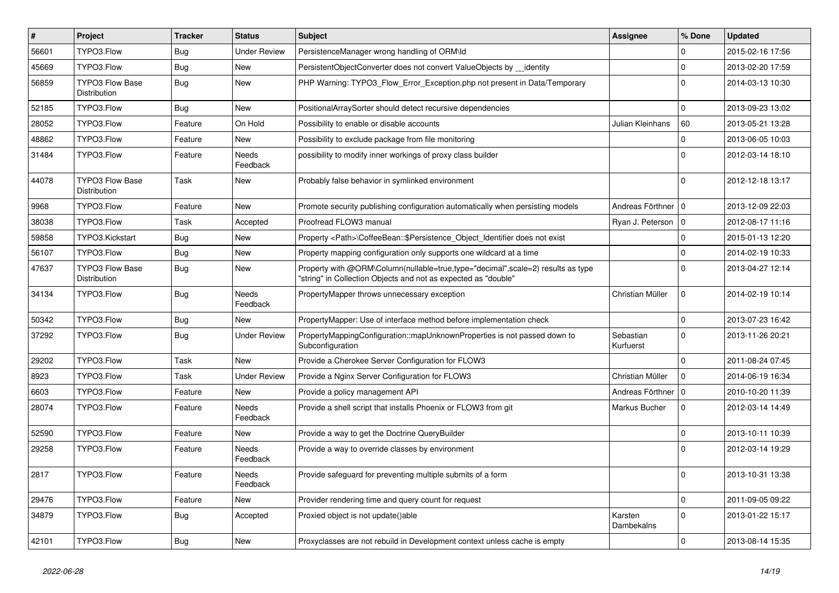| $\vert$ # | <b>Project</b>                         | <b>Tracker</b> | <b>Status</b>       | Subject                                                                                                                                           | <b>Assignee</b>        | % Done              | <b>Updated</b>   |
|-----------|----------------------------------------|----------------|---------------------|---------------------------------------------------------------------------------------------------------------------------------------------------|------------------------|---------------------|------------------|
| 56601     | TYPO3.Flow                             | <b>Bug</b>     | Under Review        | PersistenceManager wrong handling of ORM\ld                                                                                                       |                        | $\Omega$            | 2015-02-16 17:56 |
| 45669     | TYPO3.Flow                             | <b>Bug</b>     | New                 | PersistentObjectConverter does not convert ValueObjects by __identity                                                                             |                        | $\mathbf 0$         | 2013-02-20 17:59 |
| 56859     | <b>TYPO3 Flow Base</b><br>Distribution | Bug            | New                 | PHP Warning: TYPO3_Flow_Error_Exception.php not present in Data/Temporary                                                                         |                        | $\Omega$            | 2014-03-13 10:30 |
| 52185     | TYPO3.Flow                             | <b>Bug</b>     | New                 | PositionalArraySorter should detect recursive dependencies                                                                                        |                        | $\Omega$            | 2013-09-23 13:02 |
| 28052     | TYPO3.Flow                             | Feature        | On Hold             | Possibility to enable or disable accounts                                                                                                         | Julian Kleinhans       | 60                  | 2013-05-21 13:28 |
| 48862     | TYPO3.Flow                             | Feature        | New                 | Possibility to exclude package from file monitoring                                                                                               |                        | $\mathbf 0$         | 2013-06-05 10:03 |
| 31484     | TYPO3.Flow                             | Feature        | Needs<br>Feedback   | possibility to modify inner workings of proxy class builder                                                                                       |                        | $\Omega$            | 2012-03-14 18:10 |
| 44078     | <b>TYPO3 Flow Base</b><br>Distribution | Task           | New                 | Probably false behavior in symlinked environment                                                                                                  |                        | $\Omega$            | 2012-12-18 13:17 |
| 9968      | TYPO3.Flow                             | Feature        | New                 | Promote security publishing configuration automatically when persisting models                                                                    | Andreas Förthner   0   |                     | 2013-12-09 22:03 |
| 38038     | TYPO3.Flow                             | Task           | Accepted            | Proofread FLOW3 manual                                                                                                                            | Ryan J. Peterson   0   |                     | 2012-08-17 11:16 |
| 59858     | TYPO3.Kickstart                        | <b>Bug</b>     | New                 | Property <path>\CoffeeBean::\$Persistence_Object_Identifier does not exist</path>                                                                 |                        | $\Omega$            | 2015-01-13 12:20 |
| 56107     | TYPO3.Flow                             | <b>Bug</b>     | New                 | Property mapping configuration only supports one wildcard at a time                                                                               |                        | $\Omega$            | 2014-02-19 10:33 |
| 47637     | <b>TYPO3 Flow Base</b><br>Distribution | <b>Bug</b>     | New                 | Property with @ORM\Column(nullable=true,type="decimal",scale=2) results as type<br>"string" in Collection Objects and not as expected as "double" |                        | $\Omega$            | 2013-04-27 12:14 |
| 34134     | TYPO3.Flow                             | <b>Bug</b>     | Needs<br>Feedback   | PropertyMapper throws unnecessary exception                                                                                                       | Christian Müller       | $\mathbf 0$         | 2014-02-19 10:14 |
| 50342     | TYPO3.Flow                             | <b>Bug</b>     | New                 | PropertyMapper: Use of interface method before implementation check                                                                               |                        | $\Omega$            | 2013-07-23 16:42 |
| 37292     | TYPO3.Flow                             | <b>Bug</b>     | <b>Under Review</b> | PropertyMappingConfiguration::mapUnknownProperties is not passed down to<br>Subconfiguration                                                      | Sebastian<br>Kurfuerst | $\Omega$            | 2013-11-26 20:21 |
| 29202     | TYPO3.Flow                             | Task           | New                 | Provide a Cherokee Server Configuration for FLOW3                                                                                                 |                        | $\Omega$            | 2011-08-24 07:45 |
| 8923      | TYPO3.Flow                             | Task           | Under Review        | Provide a Nginx Server Configuration for FLOW3                                                                                                    | Christian Müller       | $\mathbf 0$         | 2014-06-19 16:34 |
| 6603      | TYPO3.Flow                             | Feature        | New                 | Provide a policy management API                                                                                                                   | Andreas Förthner   0   |                     | 2010-10-20 11:39 |
| 28074     | TYPO3.Flow                             | Feature        | Needs<br>Feedback   | Provide a shell script that installs Phoenix or FLOW3 from git                                                                                    | Markus Bucher          | $\mathbf 0$         | 2012-03-14 14:49 |
| 52590     | TYPO3.Flow                             | Feature        | New                 | Provide a way to get the Doctrine QueryBuilder                                                                                                    |                        | $\mathbf 0$         | 2013-10-11 10:39 |
| 29258     | TYPO3.Flow                             | Feature        | Needs<br>Feedback   | Provide a way to override classes by environment                                                                                                  |                        | $\Omega$            | 2012-03-14 19:29 |
| 2817      | TYPO3.Flow                             | Feature        | Needs<br>Feedback   | Provide safeguard for preventing multiple submits of a form                                                                                       |                        |                     | 2013-10-31 13:38 |
| 29476     | TYPO3.Flow                             | Feature        | New                 | Provider rendering time and query count for request                                                                                               |                        | $\mathbf 0$         | 2011-09-05 09:22 |
| 34879     | TYPO3.Flow                             | <b>Bug</b>     | Accepted            | Proxied object is not update()able                                                                                                                | Karsten<br>Dambekalns  | $\mathbf{0}$        | 2013-01-22 15:17 |
| 42101     | TYPO3.Flow                             | <b>Bug</b>     | New                 | Proxyclasses are not rebuild in Development context unless cache is empty                                                                         |                        | $\mathsf{O}\xspace$ | 2013-08-14 15:35 |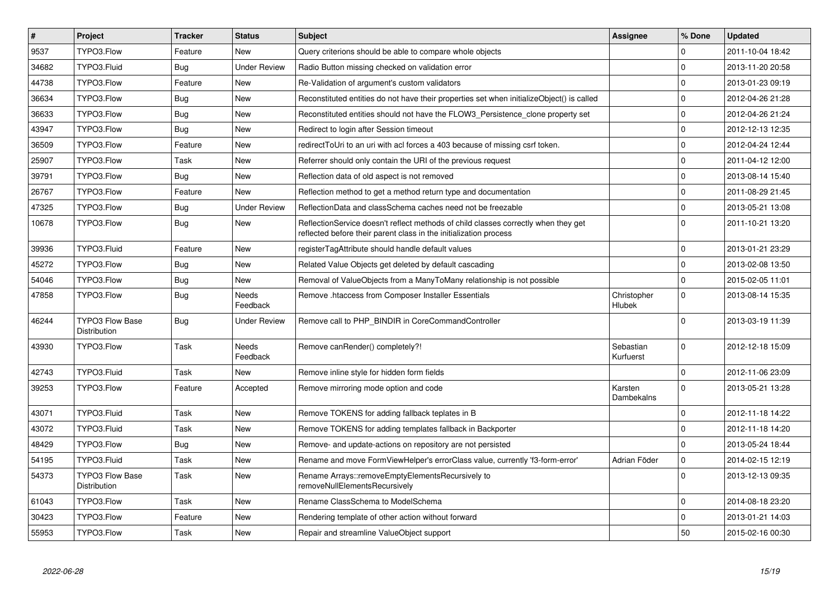| $\vert$ # | Project                                | <b>Tracker</b> | <b>Status</b>       | <b>Subject</b>                                                                                                                                          | Assignee               | % Done              | <b>Updated</b>   |
|-----------|----------------------------------------|----------------|---------------------|---------------------------------------------------------------------------------------------------------------------------------------------------------|------------------------|---------------------|------------------|
| 9537      | TYPO3.Flow                             | Feature        | <b>New</b>          | Query criterions should be able to compare whole objects                                                                                                |                        | $\Omega$            | 2011-10-04 18:42 |
| 34682     | TYPO3.Fluid                            | <b>Bug</b>     | <b>Under Review</b> | Radio Button missing checked on validation error                                                                                                        |                        | $\Omega$            | 2013-11-20 20:58 |
| 44738     | TYPO3.Flow                             | Feature        | New                 | Re-Validation of argument's custom validators                                                                                                           |                        | $\mathbf 0$         | 2013-01-23 09:19 |
| 36634     | TYPO3.Flow                             | Bug            | <b>New</b>          | Reconstituted entities do not have their properties set when initializeObject() is called                                                               |                        | $\mathbf 0$         | 2012-04-26 21:28 |
| 36633     | TYPO3.Flow                             | Bug            | New                 | Reconstituted entities should not have the FLOW3 Persistence clone property set                                                                         |                        | $\mathbf 0$         | 2012-04-26 21:24 |
| 43947     | TYPO3.Flow                             | <b>Bug</b>     | <b>New</b>          | Redirect to login after Session timeout                                                                                                                 |                        | $\mathbf 0$         | 2012-12-13 12:35 |
| 36509     | TYPO3.Flow                             | Feature        | New                 | redirectToUri to an uri with acl forces a 403 because of missing csrf token.                                                                            |                        | $\mathbf 0$         | 2012-04-24 12:44 |
| 25907     | TYPO3.Flow                             | Task           | New                 | Referrer should only contain the URI of the previous request                                                                                            |                        | $\mathbf 0$         | 2011-04-12 12:00 |
| 39791     | TYPO3.Flow                             | <b>Bug</b>     | New                 | Reflection data of old aspect is not removed                                                                                                            |                        | $\mathbf 0$         | 2013-08-14 15:40 |
| 26767     | TYPO3.Flow                             | Feature        | New                 | Reflection method to get a method return type and documentation                                                                                         |                        | $\mathbf 0$         | 2011-08-29 21:45 |
| 47325     | TYPO3.Flow                             | Bug            | <b>Under Review</b> | ReflectionData and classSchema caches need not be freezable                                                                                             |                        | $\mathbf 0$         | 2013-05-21 13:08 |
| 10678     | TYPO3.Flow                             | <b>Bug</b>     | New                 | ReflectionService doesn't reflect methods of child classes correctly when they get<br>reflected before their parent class in the initialization process |                        | $\Omega$            | 2011-10-21 13:20 |
| 39936     | TYPO3.Fluid                            | Feature        | New                 | registerTagAttribute should handle default values                                                                                                       |                        | $\mathbf 0$         | 2013-01-21 23:29 |
| 45272     | TYPO3.Flow                             | <b>Bug</b>     | New                 | Related Value Objects get deleted by default cascading                                                                                                  |                        | $\mathbf 0$         | 2013-02-08 13:50 |
| 54046     | TYPO3.Flow                             | <b>Bug</b>     | New                 | Removal of ValueObjects from a ManyToMany relationship is not possible                                                                                  |                        | 0                   | 2015-02-05 11:01 |
| 47858     | TYPO3.Flow                             | Bug            | Needs<br>Feedback   | Remove .htaccess from Composer Installer Essentials                                                                                                     | Christopher<br>Hlubek  | $\mathbf 0$         | 2013-08-14 15:35 |
| 46244     | <b>TYPO3 Flow Base</b><br>Distribution | <b>Bug</b>     | <b>Under Review</b> | Remove call to PHP BINDIR in CoreCommandController                                                                                                      |                        | $\Omega$            | 2013-03-19 11:39 |
| 43930     | TYPO3.Flow                             | Task           | Needs<br>Feedback   | Remove canRender() completely?!                                                                                                                         | Sebastian<br>Kurfuerst | $\Omega$            | 2012-12-18 15:09 |
| 42743     | TYPO3.Fluid                            | Task           | <b>New</b>          | Remove inline style for hidden form fields                                                                                                              |                        | $\Omega$            | 2012-11-06 23:09 |
| 39253     | TYPO3.Flow                             | Feature        | Accepted            | Remove mirroring mode option and code                                                                                                                   | Karsten<br>Dambekalns  | $\mathbf 0$         | 2013-05-21 13:28 |
| 43071     | TYPO3.Fluid                            | Task           | <b>New</b>          | Remove TOKENS for adding fallback teplates in B                                                                                                         |                        | $\Omega$            | 2012-11-18 14:22 |
| 43072     | TYPO3.Fluid                            | Task           | New                 | Remove TOKENS for adding templates fallback in Backporter                                                                                               |                        | $\mathbf 0$         | 2012-11-18 14:20 |
| 48429     | TYPO3.Flow                             | <b>Bug</b>     | New                 | Remove- and update-actions on repository are not persisted                                                                                              |                        | $\mathbf 0$         | 2013-05-24 18:44 |
| 54195     | TYPO3.Fluid                            | Task           | New                 | Rename and move FormViewHelper's errorClass value, currently 'f3-form-error'                                                                            | Adrian Föder           | $\mathsf{O}\xspace$ | 2014-02-15 12:19 |
| 54373     | <b>TYPO3 Flow Base</b><br>Distribution | Task           | New                 | Rename Arrays::removeEmptyElementsRecursively to<br>removeNullElementsRecursively                                                                       |                        | $\mathbf{0}$        | 2013-12-13 09:35 |
| 61043     | TYPO3.Flow                             | Task           | <b>New</b>          | Rename ClassSchema to ModelSchema                                                                                                                       |                        | $\mathbf 0$         | 2014-08-18 23:20 |
| 30423     | TYPO3.Flow                             | Feature        | New                 | Rendering template of other action without forward                                                                                                      |                        | $\mathbf 0$         | 2013-01-21 14:03 |
| 55953     | TYPO3.Flow                             | Task           | New                 | Repair and streamline ValueObject support                                                                                                               |                        | 50                  | 2015-02-16 00:30 |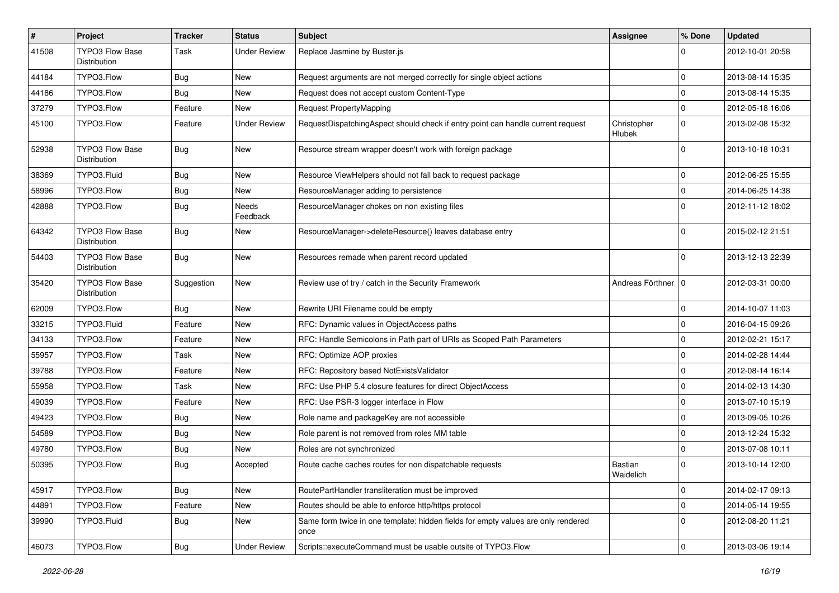| $\pmb{\#}$ | Project                                | <b>Tracker</b> | <b>Status</b>       | Subject                                                                                   | <b>Assignee</b>       | % Done      | <b>Updated</b>   |
|------------|----------------------------------------|----------------|---------------------|-------------------------------------------------------------------------------------------|-----------------------|-------------|------------------|
| 41508      | <b>TYPO3 Flow Base</b><br>Distribution | Task           | <b>Under Review</b> | Replace Jasmine by Buster.js                                                              |                       | 0           | 2012-10-01 20:58 |
| 44184      | TYPO3.Flow                             | <b>Bug</b>     | New                 | Request arguments are not merged correctly for single object actions                      |                       | $\mathbf 0$ | 2013-08-14 15:35 |
| 44186      | TYPO3.Flow                             | <b>Bug</b>     | New                 | Request does not accept custom Content-Type                                               |                       | $\mathbf 0$ | 2013-08-14 15:35 |
| 37279      | TYPO3.Flow                             | Feature        | <b>New</b>          | Request PropertyMapping                                                                   |                       | $\mathbf 0$ | 2012-05-18 16:06 |
| 45100      | TYPO3.Flow                             | Feature        | <b>Under Review</b> | RequestDispatchingAspect should check if entry point can handle current request           | Christopher<br>Hlubek | $\mathbf 0$ | 2013-02-08 15:32 |
| 52938      | <b>TYPO3 Flow Base</b><br>Distribution | <b>Bug</b>     | New                 | Resource stream wrapper doesn't work with foreign package                                 |                       | $\mathbf 0$ | 2013-10-18 10:31 |
| 38369      | TYPO3.Fluid                            | <b>Bug</b>     | New                 | Resource ViewHelpers should not fall back to request package                              |                       | 0           | 2012-06-25 15:55 |
| 58996      | TYPO3.Flow                             | <b>Bug</b>     | New                 | ResourceManager adding to persistence                                                     |                       | $\mathbf 0$ | 2014-06-25 14:38 |
| 42888      | TYPO3.Flow                             | <b>Bug</b>     | Needs<br>Feedback   | ResourceManager chokes on non existing files                                              |                       | $\Omega$    | 2012-11-12 18:02 |
| 64342      | <b>TYPO3 Flow Base</b><br>Distribution | <b>Bug</b>     | New                 | ResourceManager->deleteResource() leaves database entry                                   |                       | 0           | 2015-02-12 21:51 |
| 54403      | <b>TYPO3 Flow Base</b><br>Distribution | <b>Bug</b>     | New                 | Resources remade when parent record updated                                               |                       | $\Omega$    | 2013-12-13 22:39 |
| 35420      | <b>TYPO3 Flow Base</b><br>Distribution | Suggestion     | New                 | Review use of try / catch in the Security Framework                                       | Andreas Förthner   0  |             | 2012-03-31 00:00 |
| 62009      | TYPO3.Flow                             | <b>Bug</b>     | New                 | Rewrite URI Filename could be empty                                                       |                       | 0           | 2014-10-07 11:03 |
| 33215      | TYPO3.Fluid                            | Feature        | New                 | RFC: Dynamic values in ObjectAccess paths                                                 |                       | $\Omega$    | 2016-04-15 09:26 |
| 34133      | TYPO3.Flow                             | Feature        | New                 | RFC: Handle Semicolons in Path part of URIs as Scoped Path Parameters                     |                       | $\mathbf 0$ | 2012-02-21 15:17 |
| 55957      | TYPO3.Flow                             | Task           | New                 | RFC: Optimize AOP proxies                                                                 |                       | $\Omega$    | 2014-02-28 14:44 |
| 39788      | TYPO3.Flow                             | Feature        | New                 | RFC: Repository based NotExistsValidator                                                  |                       | $\mathbf 0$ | 2012-08-14 16:14 |
| 55958      | TYPO3.Flow                             | Task           | New                 | RFC: Use PHP 5.4 closure features for direct ObjectAccess                                 |                       | $\Omega$    | 2014-02-13 14:30 |
| 49039      | TYPO3.Flow                             | Feature        | New                 | RFC: Use PSR-3 logger interface in Flow                                                   |                       | 0           | 2013-07-10 15:19 |
| 49423      | TYPO3.Flow                             | <b>Bug</b>     | New                 | Role name and packageKey are not accessible                                               |                       | $\mathbf 0$ | 2013-09-05 10:26 |
| 54589      | TYPO3.Flow                             | <b>Bug</b>     | New                 | Role parent is not removed from roles MM table                                            |                       | $\Omega$    | 2013-12-24 15:32 |
| 49780      | TYPO3.Flow                             | <b>Bug</b>     | New                 | Roles are not synchronized                                                                |                       | $\mathbf 0$ | 2013-07-08 10:11 |
| 50395      | TYPO3.Flow                             | <b>Bug</b>     | Accepted            | Route cache caches routes for non dispatchable requests                                   | Bastian<br>Waidelich  | $\Omega$    | 2013-10-14 12:00 |
| 45917      | TYPO3.Flow                             | <b>Bug</b>     | New                 | RoutePartHandler transliteration must be improved                                         |                       | 0           | 2014-02-17 09:13 |
| 44891      | TYPO3.Flow                             | Feature        | New                 | Routes should be able to enforce http/https protocol                                      |                       | $\mathbf 0$ | 2014-05-14 19:55 |
| 39990      | TYPO3.Fluid                            | <b>Bug</b>     | New                 | Same form twice in one template: hidden fields for empty values are only rendered<br>once |                       | $\Omega$    | 2012-08-20 11:21 |
| 46073      | TYPO3.Flow                             | <b>Bug</b>     | <b>Under Review</b> | Scripts::executeCommand must be usable outsite of TYPO3.Flow                              |                       | $\mathbf 0$ | 2013-03-06 19:14 |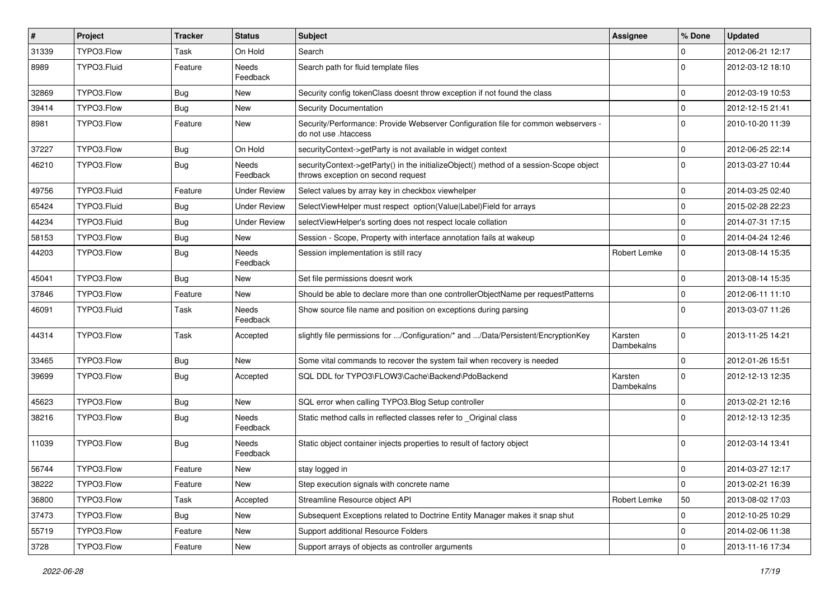| $\sharp$ | Project     | <b>Tracker</b> | <b>Status</b>       | <b>Subject</b>                                                                                                               | Assignee              | % Done       | <b>Updated</b>   |
|----------|-------------|----------------|---------------------|------------------------------------------------------------------------------------------------------------------------------|-----------------------|--------------|------------------|
| 31339    | TYPO3.Flow  | <b>Task</b>    | On Hold             | Search                                                                                                                       |                       | $\Omega$     | 2012-06-21 12:17 |
| 8989     | TYPO3.Fluid | Feature        | Needs<br>Feedback   | Search path for fluid template files                                                                                         |                       | $\Omega$     | 2012-03-12 18:10 |
| 32869    | TYPO3.Flow  | <b>Bug</b>     | New                 | Security config tokenClass doesnt throw exception if not found the class                                                     |                       | $\mathbf 0$  | 2012-03-19 10:53 |
| 39414    | TYPO3.Flow  | <b>Bug</b>     | New                 | Security Documentation                                                                                                       |                       | $\mathbf 0$  | 2012-12-15 21:41 |
| 8981     | TYPO3.Flow  | Feature        | New                 | Security/Performance: Provide Webserver Configuration file for common webservers -<br>do not use .htaccess                   |                       | $\Omega$     | 2010-10-20 11:39 |
| 37227    | TYPO3.Flow  | Bug            | On Hold             | securityContext->getParty is not available in widget context                                                                 |                       | $\mathbf 0$  | 2012-06-25 22:14 |
| 46210    | TYPO3.Flow  | <b>Bug</b>     | Needs<br>Feedback   | securityContext->getParty() in the initializeObject() method of a session-Scope object<br>throws exception on second request |                       | $\Omega$     | 2013-03-27 10:44 |
| 49756    | TYPO3.Fluid | Feature        | <b>Under Review</b> | Select values by array key in checkbox viewhelper                                                                            |                       | $\mathbf 0$  | 2014-03-25 02:40 |
| 65424    | TYPO3.Fluid | <b>Bug</b>     | <b>Under Review</b> | SelectViewHelper must respect option(Value Label)Field for arrays                                                            |                       | $\mathbf{0}$ | 2015-02-28 22:23 |
| 44234    | TYPO3.Fluid | <b>Bug</b>     | <b>Under Review</b> | selectViewHelper's sorting does not respect locale collation                                                                 |                       | $\mathbf 0$  | 2014-07-31 17:15 |
| 58153    | TYPO3.Flow  | <b>Bug</b>     | New                 | Session - Scope, Property with interface annotation fails at wakeup                                                          |                       | $\mathbf{0}$ | 2014-04-24 12:46 |
| 44203    | TYPO3.Flow  | <b>Bug</b>     | Needs<br>Feedback   | Session implementation is still racy                                                                                         | Robert Lemke          | $\mathbf{0}$ | 2013-08-14 15:35 |
| 45041    | TYPO3.Flow  | <b>Bug</b>     | New                 | Set file permissions doesnt work                                                                                             |                       | $\Omega$     | 2013-08-14 15:35 |
| 37846    | TYPO3.Flow  | Feature        | New                 | Should be able to declare more than one controllerObjectName per requestPatterns                                             |                       | $\mathbf 0$  | 2012-06-11 11:10 |
| 46091    | TYPO3.Fluid | Task           | Needs<br>Feedback   | Show source file name and position on exceptions during parsing                                                              |                       | $\Omega$     | 2013-03-07 11:26 |
| 44314    | TYPO3.Flow  | <b>Task</b>    | Accepted            | slightly file permissions for /Configuration/* and /Data/Persistent/EncryptionKey                                            | Karsten<br>Dambekalns | $\Omega$     | 2013-11-25 14:21 |
| 33465    | TYPO3.Flow  | <b>Bug</b>     | New                 | Some vital commands to recover the system fail when recovery is needed                                                       |                       | $\Omega$     | 2012-01-26 15:51 |
| 39699    | TYPO3.Flow  | <b>Bug</b>     | Accepted            | SQL DDL for TYPO3\FLOW3\Cache\Backend\PdoBackend                                                                             | Karsten<br>Dambekalns | $\Omega$     | 2012-12-13 12:35 |
| 45623    | TYPO3.Flow  | <b>Bug</b>     | New                 | SQL error when calling TYPO3.Blog Setup controller                                                                           |                       | $\mathbf 0$  | 2013-02-21 12:16 |
| 38216    | TYPO3.Flow  | <b>Bug</b>     | Needs<br>Feedback   | Static method calls in reflected classes refer to _Original class                                                            |                       | $\Omega$     | 2012-12-13 12:35 |
| 11039    | TYPO3.Flow  | <b>Bug</b>     | Needs<br>Feedback   | Static object container injects properties to result of factory object                                                       |                       | $\Omega$     | 2012-03-14 13:41 |
| 56744    | TYPO3.Flow  | Feature        | New                 | stay logged in                                                                                                               |                       | $\mathbf 0$  | 2014-03-27 12:17 |
| 38222    | TYPO3.Flow  | Feature        | New                 | Step execution signals with concrete name                                                                                    |                       | $\mathbf 0$  | 2013-02-21 16:39 |
| 36800    | TYPO3.Flow  | Task           | Accepted            | Streamline Resource object API                                                                                               | Robert Lemke          | 50           | 2013-08-02 17:03 |
| 37473    | TYPO3.Flow  | Bug            | New                 | Subsequent Exceptions related to Doctrine Entity Manager makes it snap shut                                                  |                       | $\mathbf 0$  | 2012-10-25 10:29 |
| 55719    | TYPO3.Flow  | Feature        | New                 | Support additional Resource Folders                                                                                          |                       | $\mathbf 0$  | 2014-02-06 11:38 |
| 3728     | TYPO3.Flow  | Feature        | New                 | Support arrays of objects as controller arguments                                                                            |                       | $\mathbf 0$  | 2013-11-16 17:34 |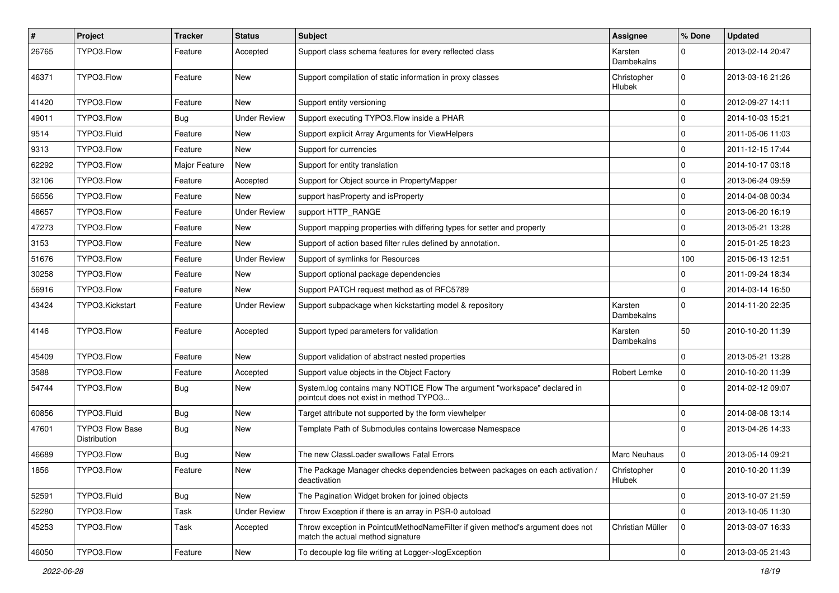| $\#$  | <b>Project</b>                         | <b>Tracker</b> | <b>Status</b>       | <b>Subject</b>                                                                                                       | Assignee                     | % Done         | <b>Updated</b>   |
|-------|----------------------------------------|----------------|---------------------|----------------------------------------------------------------------------------------------------------------------|------------------------------|----------------|------------------|
| 26765 | TYPO3.Flow                             | Feature        | Accepted            | Support class schema features for every reflected class                                                              | Karsten<br>Dambekalns        | $\Omega$       | 2013-02-14 20:47 |
| 46371 | TYPO3.Flow                             | Feature        | New                 | Support compilation of static information in proxy classes                                                           | Christopher<br><b>Hlubek</b> | $\mathbf 0$    | 2013-03-16 21:26 |
| 41420 | TYPO3.Flow                             | Feature        | <b>New</b>          | Support entity versioning                                                                                            |                              | 0              | 2012-09-27 14:11 |
| 49011 | TYPO3.Flow                             | <b>Bug</b>     | <b>Under Review</b> | Support executing TYPO3. Flow inside a PHAR                                                                          |                              | $\Omega$       | 2014-10-03 15:21 |
| 9514  | TYPO3.Fluid                            | Feature        | <b>New</b>          | Support explicit Array Arguments for ViewHelpers                                                                     |                              | $\mathbf 0$    | 2011-05-06 11:03 |
| 9313  | TYPO3.Flow                             | Feature        | New                 | Support for currencies                                                                                               |                              | 0              | 2011-12-15 17:44 |
| 62292 | TYPO3.Flow                             | Major Feature  | New                 | Support for entity translation                                                                                       |                              | $\Omega$       | 2014-10-17 03:18 |
| 32106 | TYPO3.Flow                             | Feature        | Accepted            | Support for Object source in PropertyMapper                                                                          |                              | 0              | 2013-06-24 09:59 |
| 56556 | TYPO3.Flow                             | Feature        | New                 | support has Property and is Property                                                                                 |                              | $\mathbf 0$    | 2014-04-08 00:34 |
| 48657 | TYPO3.Flow                             | Feature        | <b>Under Review</b> | support HTTP_RANGE                                                                                                   |                              | $\mathbf 0$    | 2013-06-20 16:19 |
| 47273 | TYPO3.Flow                             | Feature        | New                 | Support mapping properties with differing types for setter and property                                              |                              | $\mathbf 0$    | 2013-05-21 13:28 |
| 3153  | TYPO3.Flow                             | Feature        | New                 | Support of action based filter rules defined by annotation.                                                          |                              | $\Omega$       | 2015-01-25 18:23 |
| 51676 | TYPO3.Flow                             | Feature        | <b>Under Review</b> | Support of symlinks for Resources                                                                                    |                              | 100            | 2015-06-13 12:51 |
| 30258 | TYPO3.Flow                             | Feature        | New                 | Support optional package dependencies                                                                                |                              | 0              | 2011-09-24 18:34 |
| 56916 | TYPO3.Flow                             | Feature        | New                 | Support PATCH request method as of RFC5789                                                                           |                              | $\Omega$       | 2014-03-14 16:50 |
| 43424 | TYPO3.Kickstart                        | Feature        | Under Review        | Support subpackage when kickstarting model & repository                                                              | Karsten<br>Dambekalns        | $\Omega$       | 2014-11-20 22:35 |
| 4146  | TYPO3.Flow                             | Feature        | Accepted            | Support typed parameters for validation                                                                              | Karsten<br>Dambekalns        | 50             | 2010-10-20 11:39 |
| 45409 | TYPO3.Flow                             | Feature        | New                 | Support validation of abstract nested properties                                                                     |                              | $\Omega$       | 2013-05-21 13:28 |
| 3588  | TYPO3.Flow                             | Feature        | Accepted            | Support value objects in the Object Factory                                                                          | Robert Lemke                 | $\mathbf 0$    | 2010-10-20 11:39 |
| 54744 | TYPO3.Flow                             | <b>Bug</b>     | New                 | System.log contains many NOTICE Flow The argument "workspace" declared in<br>pointcut does not exist in method TYPO3 |                              | $\Omega$       | 2014-02-12 09:07 |
| 60856 | TYPO3.Fluid                            | Bug            | New                 | Target attribute not supported by the form viewhelper                                                                |                              | 0              | 2014-08-08 13:14 |
| 47601 | <b>TYPO3 Flow Base</b><br>Distribution | <b>Bug</b>     | New                 | Template Path of Submodules contains lowercase Namespace                                                             |                              | $\Omega$       | 2013-04-26 14:33 |
| 46689 | TYPO3.Flow                             | <b>Bug</b>     | New                 | The new ClassLoader swallows Fatal Errors                                                                            | <b>Marc Neuhaus</b>          | $\mathbf 0$    | 2013-05-14 09:21 |
| 1856  | TYPO3.Flow                             | Feature        | <b>New</b>          | The Package Manager checks dependencies between packages on each activation /<br>deactivation                        | Christopher<br>Hlubek        | 0              | 2010-10-20 11:39 |
| 52591 | TYPO3.Fluid                            | Bug            | New                 | The Pagination Widget broken for joined objects                                                                      |                              | $\mathbf 0$    | 2013-10-07 21:59 |
| 52280 | TYPO3.Flow                             | Task           | <b>Under Review</b> | Throw Exception if there is an array in PSR-0 autoload                                                               |                              | $\Omega$       | 2013-10-05 11:30 |
| 45253 | TYPO3.Flow                             | Task           | Accepted            | Throw exception in PointcutMethodNameFilter if given method's argument does not<br>match the actual method signature | Christian Müller             | 0              | 2013-03-07 16:33 |
| 46050 | TYPO3.Flow                             | Feature        | New                 | To decouple log file writing at Logger->logException                                                                 |                              | $\overline{0}$ | 2013-03-05 21:43 |